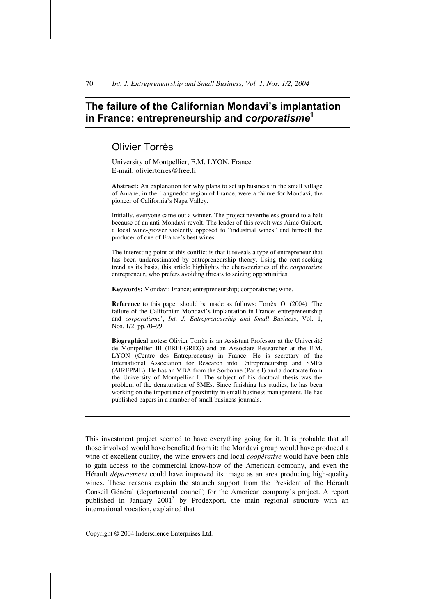# **The failure of the Californian Mondavi's implantation in France: entrepreneurship and** *corporatisme***<sup>1</sup>**

# Olivier Torrès

University of Montpellier, E.M. LYON, France E-mail: oliviertorres@free.fr

**Abstract:** An explanation for why plans to set up business in the small village of Aniane, in the Languedoc region of France, were a failure for Mondavi, the pioneer of California's Napa Valley.

Initially, everyone came out a winner. The project nevertheless ground to a halt because of an anti-Mondavi revolt. The leader of this revolt was Aimé Guibert, a local wine-grower violently opposed to "industrial wines" and himself the producer of one of France's best wines.

The interesting point of this conflict is that it reveals a type of entrepreneur that has been underestimated by entrepreneurship theory. Using the rent-seeking trend as its basis, this article highlights the characteristics of the *corporatiste* entrepreneur, who prefers avoiding threats to seizing opportunities.

**Keywords:** Mondavi; France; entrepreneurship; corporatisme; wine.

**Reference** to this paper should be made as follows: Torrès, O. (2004) 'The failure of the Californian Mondavi's implantation in France: entrepreneurship and *corporatisme*', *Int. J. Entrepreneurship and Small Business*, Vol. 1, Nos. 1/2, pp.70–99.

**Biographical notes:** Olivier Torrès is an Assistant Professor at the Université de Montpellier III (ERFI-GREG) and an Associate Researcher at the E.M. LYON (Centre des Entrepreneurs) in France. He is secretary of the International Association for Research into Entrepreneurship and SMEs (AIREPME). He has an MBA from the Sorbonne (Paris I) and a doctorate from the University of Montpellier I. The subject of his doctoral thesis was the problem of the denaturation of SMEs. Since finishing his studies, he has been working on the importance of proximity in small business management. He has published papers in a number of small business journals.

This investment project seemed to have everything going for it. It is probable that all those involved would have benefited from it: the Mondavi group would have produced a wine of excellent quality, the wine-growers and local *coopérative* would have been able to gain access to the commercial know-how of the American company, and even the Hérault *département* could have improved its image as an area producing high-quality wines. These reasons explain the staunch support from the President of the Hérault Conseil Général (departmental council) for the American company's project. A report published in January  $2001^3$  by Prodexport, the main regional structure with an international vocation, explained that

Copyright © 2004 Inderscience Enterprises Ltd.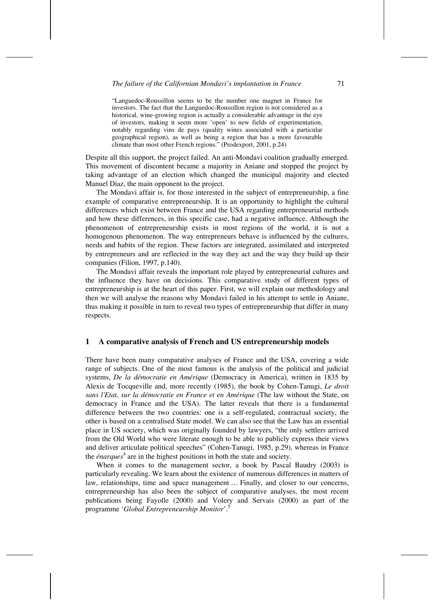"Languedoc-Roussillon seems to be the number one magnet in France for investors. The fact that the Languedoc-Roussillon region is not considered as a historical, wine-growing region is actually a considerable advantage in the eye of investors, making it seem more 'open' to new fields of experimentation, notably regarding vins de pays (quality wines associated with a particular geographical region), as well as being a region that has a more favourable climate than most other French regions." (Prodexport, 2001, p.24)

Despite all this support, the project failed. An anti-Mondavi coalition gradually emerged. This movement of discontent became a majority in Aniane and stopped the project by taking advantage of an election which changed the municipal majority and elected Manuel Diaz, the main opponent to the project.

The Mondavi affair is, for those interested in the subject of entrepreneurship, a fine example of comparative entrepreneurship. It is an opportunity to highlight the cultural differences which exist between France and the USA regarding entrepreneurial methods and how these differences, in this specific case, had a negative influence. Although the phenomenon of entrepreneurship exists in most regions of the world, it is not a homogenous phenomenon. The way entrepreneurs behave is influenced by the cultures, needs and habits of the region. These factors are integrated, assimilated and interpreted by entrepreneurs and are reflected in the way they act and the way they build up their companies (Filion, 1997, p.140).

The Mondavi affair reveals the important role played by entrepreneurial cultures and the influence they have on decisions. This comparative study of different types of entrepreneurship is at the heart of this paper. First, we will explain our methodology and then we will analyse the reasons why Mondavi failed in his attempt to settle in Aniane, thus making it possible in turn to reveal two types of entrepreneurship that differ in many respects.

#### **1 A comparative analysis of French and US entrepreneurship models**

There have been many comparative analyses of France and the USA, covering a wide range of subjects. One of the most famous is the analysis of the political and judicial systems, *De la démocratie en Amérique* (Democracy in America)*,* written in 1835 by Alexis de Tocqueville and, more recently (1985), the book by Cohen-Tanugi, *Le droit sans l'Etat, sur la démocratie en France et en Amérique* (The law without the State, on democracy in France and the USA). The latter reveals that there is a fundamental difference between the two countries: one is a self-regulated, contractual society, the other is based on a centralised State model. We can also see that the Law has an essential place in US society, which was originally founded by lawyers, "the only settlers arrived from the Old World who were literate enough to be able to publicly express their views and deliver articulate political speeches" (Cohen-Tanugi, 1985, p.29), whereas in France the *énarques*<sup>4</sup> are in the highest positions in both the state and society.

When it comes to the management sector, a book by Pascal Baudry (2003) is particularly revealing. We learn about the existence of numerous differences in matters of law, relationships, time and space management … Finally, and closer to our concerns, entrepreneurship has also been the subject of comparative analyses, the most recent publications being Fayolle (2000) and Volery and Servais (2000) as part of the programme '*Global Entrepreneurship Monitor*'.<sup>5</sup>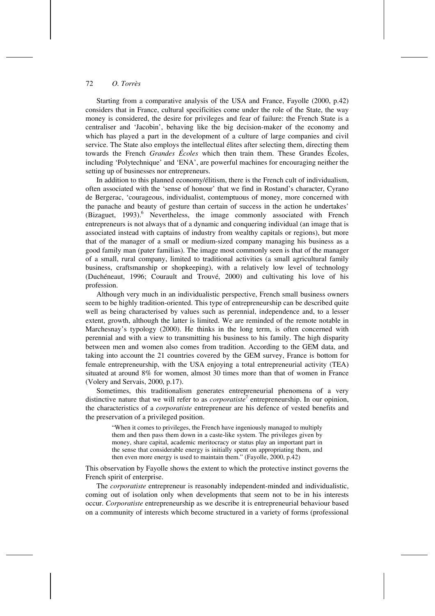Starting from a comparative analysis of the USA and France, Fayolle (2000, p.42) considers that in France, cultural specificities come under the role of the State, the way money is considered, the desire for privileges and fear of failure: the French State is a centraliser and 'Jacobin', behaving like the big decision-maker of the economy and which has played a part in the development of a culture of large companies and civil service. The State also employs the intellectual élites after selecting them, directing them towards the French *Grandes Écoles* which then train them. These Grandes Écoles, including 'Polytechnique' and 'ENA', are powerful machines for encouraging neither the setting up of businesses nor entrepreneurs.

In addition to this planned economy/élitism, there is the French cult of individualism, often associated with the 'sense of honour' that we find in Rostand's character, Cyrano de Bergerac, 'courageous, individualist, contemptuous of money, more concerned with the panache and beauty of gesture than certain of success in the action he undertakes' (Bizaguet,  $1993$ ).<sup>6</sup> Nevertheless, the image commonly associated with French entrepreneurs is not always that of a dynamic and conquering individual (an image that is associated instead with captains of industry from wealthy capitals or regions), but more that of the manager of a small or medium-sized company managing his business as a good family man (pater familias). The image most commonly seen is that of the manager of a small, rural company, limited to traditional activities (a small agricultural family business, craftsmanship or shopkeeping), with a relatively low level of technology (Duchéneaut, 1996; Courault and Trouvé, 2000) and cultivating his love of his profession.

Although very much in an individualistic perspective, French small business owners seem to be highly tradition-oriented. This type of entrepreneurship can be described quite well as being characterised by values such as perennial, independence and, to a lesser extent, growth, although the latter is limited. We are reminded of the remote notable in Marchesnay's typology (2000). He thinks in the long term, is often concerned with perennial and with a view to transmitting his business to his family. The high disparity between men and women also comes from tradition. According to the GEM data, and taking into account the 21 countries covered by the GEM survey, France is bottom for female entrepreneurship, with the USA enjoying a total entrepreneurial activity (TEA) situated at around 8% for women, almost 30 times more than that of women in France (Volery and Servais, 2000, p.17).

Sometimes, this traditionalism generates entrepreneurial phenomena of a very distinctive nature that we will refer to as *corporatiste*<sup>7</sup> entrepreneurship. In our opinion, the characteristics of a *corporatiste* entrepreneur are his defence of vested benefits and the preservation of a privileged position.

"When it comes to privileges, the French have ingeniously managed to multiply them and then pass them down in a caste-like system. The privileges given by money, share capital, academic meritocracy or status play an important part in the sense that considerable energy is initially spent on appropriating them, and then even more energy is used to maintain them." (Fayolle, 2000, p.42)

This observation by Fayolle shows the extent to which the protective instinct governs the French spirit of enterprise.

The *corporatiste* entrepreneur is reasonably independent-minded and individualistic, coming out of isolation only when developments that seem not to be in his interests occur. *Corporatiste* entrepreneurship as we describe it is entrepreneurial behaviour based on a community of interests which become structured in a variety of forms (professional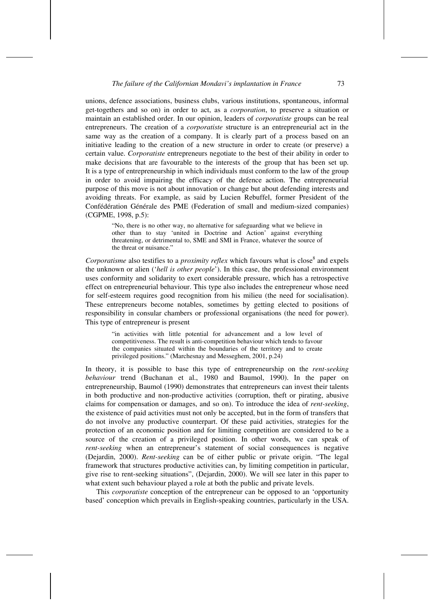unions, defence associations, business clubs, various institutions, spontaneous, informal get-togethers and so on) in order to act, as a *corporation*, to preserve a situation or maintain an established order. In our opinion, leaders of *corporatiste* groups can be real entrepreneurs. The creation of a *corporatiste* structure is an entrepreneurial act in the same way as the creation of a company. It is clearly part of a process based on an initiative leading to the creation of a new structure in order to create (or preserve) a certain value. *Corporatiste* entrepreneurs negotiate to the best of their ability in order to make decisions that are favourable to the interests of the group that has been set up. It is a type of entrepreneurship in which individuals must conform to the law of the group in order to avoid impairing the efficacy of the defence action. The entrepreneurial purpose of this move is not about innovation or change but about defending interests and avoiding threats. For example, as said by Lucien Rebuffel, former President of the Confédération Générale des PME (Federation of small and medium-sized companies) (CGPME, 1998, p.5):

"No, there is no other way, no alternative for safeguarding what we believe in other than to stay 'united in Doctrine and Action' against everything threatening, or detrimental to, SME and SMI in France, whatever the source of the threat or nuisance."

Corporatisme also testifies to a *proximity reflex* which favours what is close<sup>8</sup> and expels the unknown or alien ('*hell is other people*'). In this case, the professional environment uses conformity and solidarity to exert considerable pressure, which has a retrospective effect on entrepreneurial behaviour. This type also includes the entrepreneur whose need for self-esteem requires good recognition from his milieu (the need for socialisation). These entrepreneurs become notables, sometimes by getting elected to positions of responsibility in consular chambers or professional organisations (the need for power). This type of entrepreneur is present

"in activities with little potential for advancement and a low level of competitiveness. The result is anti-competition behaviour which tends to favour the companies situated within the boundaries of the territory and to create privileged positions." (Marchesnay and Messeghem, 2001, p.24)

In theory, it is possible to base this type of entrepreneurship on the *rent-seeking behaviour* trend (Buchanan et al., 1980 and Baumol, 1990). In the paper on entrepreneurship, Baumol (1990) demonstrates that entrepreneurs can invest their talents in both productive and non-productive activities (corruption, theft or pirating, abusive claims for compensation or damages, and so on). To introduce the idea of *rent-seeking*, the existence of paid activities must not only be accepted, but in the form of transfers that do not involve any productive counterpart. Of these paid activities, strategies for the protection of an economic position and for limiting competition are considered to be a source of the creation of a privileged position. In other words, we can speak of *rent-seeking* when an entrepreneur's statement of social consequences is negative (Dejardin, 2000). *Rent-seeking* can be of either public or private origin. "The legal framework that structures productive activities can, by limiting competition in particular, give rise to rent-seeking situations", (Dejardin, 2000). We will see later in this paper to what extent such behaviour played a role at both the public and private levels.

This *corporatiste* conception of the entrepreneur can be opposed to an 'opportunity based' conception which prevails in English-speaking countries, particularly in the USA.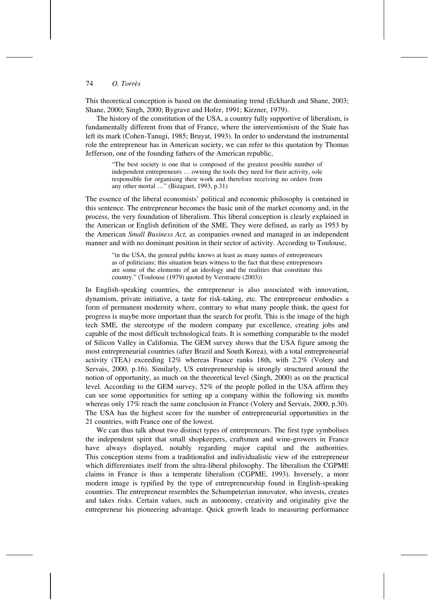This theoretical conception is based on the dominating trend (Eckhardt and Shane, 2003; Shane, 2000; Singh, 2000; Bygrave and Hofer, 1991; Kirzner, 1979).

The history of the constitution of the USA, a country fully supportive of liberalism, is fundamentally different from that of France, where the interventionism of the State has left its mark (Cohen-Tanugi, 1985; Bruyat, 1993). In order to understand the instrumental role the entrepreneur has in American society, we can refer to this quotation by Thomas Jefferson, one of the founding fathers of the American republic,

"The best society is one that is composed of the greatest possible number of independent entrepreneurs … owning the tools they need for their activity, sole responsible for organising their work and therefore receiving no orders from any other mortal …" (Bizaguet, 1993, p.31)

The essence of the liberal economists' political and economic philosophy is contained in this sentence. The entrepreneur becomes the basic unit of the market economy and, in the process, the very foundation of liberalism. This liberal conception is clearly explained in the American or English definition of the SME. They were defined, as early as 1953 by the American *Small Business Act,* as companies owned and managed in an independent manner and with no dominant position in their sector of activity. According to Toulouse,

"in the USA, the general public knows at least as many names of entrepreneurs as of politicians; this situation bears witness to the fact that these entrepreneurs are some of the elements of an ideology and the realities that constitute this country." (Toulouse (1979) quoted by Verstraete (2003))

In English-speaking countries, the entrepreneur is also associated with innovation, dynamism, private initiative, a taste for risk-taking, etc. The entrepreneur embodies a form of permanent modernity where, contrary to what many people think, the quest for progress is maybe more important than the search for profit. This is the image of the high tech SME*,* the stereotype of the modern company par excellence, creating jobs and capable of the most difficult technological feats. It is something comparable to the model of Silicon Valley in California. The GEM survey shows that the USA figure among the most entrepreneurial countries (after Brazil and South Korea), with a total entrepreneurial activity (TEA) exceeding 12% whereas France ranks 18th, with 2.2% (Volery and Servais, 2000, p.16). Similarly, US entrepreneurship is strongly structured around the notion of opportunity, as much on the theoretical level (Singh, 2000) as on the practical level. According to the GEM survey, 52% of the people polled in the USA affirm they can see some opportunities for setting up a company within the following six months whereas only 17% reach the same conclusion in France (Volery and Servais, 2000, p.30). The USA has the highest score for the number of entrepreneurial opportunities in the 21 countries, with France one of the lowest.

We can thus talk about two distinct types of entrepreneurs. The first type symbolises the independent spirit that small shopkeepers, craftsmen and wine-growers in France have always displayed, notably regarding major capital and the authorities. This conception stems from a traditionalist and individualistic view of the entrepreneur which differentiates itself from the ultra-liberal philosophy. The liberalism the CGPME claims in France is thus a temperate liberalism (CGPME, 1993). Inversely, a more modern image is typified by the type of entrepreneurship found in English-speaking countries. The entrepreneur resembles the Schumpeterian innovator, who invests, creates and takes risks. Certain values, such as autonomy, creativity and originality give the entrepreneur his pioneering advantage. Quick growth leads to measuring performance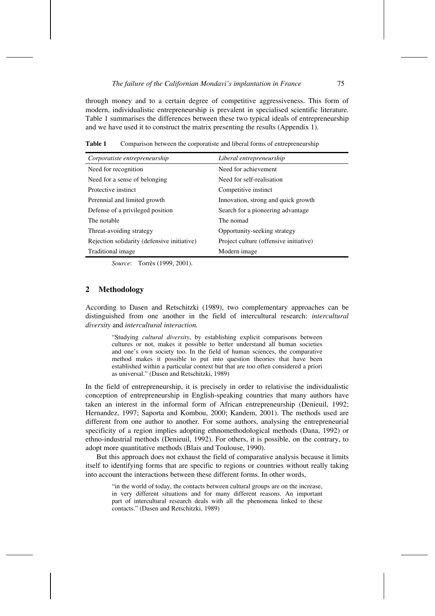through money and to a certain degree of competitive aggressiveness. This form of modern, individualistic entrepreneurship is prevalent in specialised scientific literature. Table 1 summarises the differences between these two typical ideals of entrepreneurship and we have used it to construct the matrix presenting the results (Appendix 1).

**Table 1** Comparison between the corporatiste and liberal forms of entrepreneurship

| Corporatiste entrepreneurship               | Liberal entrepreneurship               |
|---------------------------------------------|----------------------------------------|
| Need for recognition                        | Need for achievement                   |
| Need for a sense of belonging               | Need for self-realisation              |
| Protective instinct                         | Competitive instinct                   |
| Perennial and limited growth                | Innovation, strong and quick growth    |
| Defense of a privileged position            | Search for a pioneering advantage      |
| The notable                                 | The nomad                              |
| Threat-avoiding strategy                    | Opportunity-seeking strategy           |
| Rejection solidarity (defensive initiative) | Project culture (offensive initiative) |
| Traditional image                           | Modern image                           |
|                                             |                                        |

*Source*: Torrès (1999, 2001).

## **2 Methodology**

According to Dasen and Retschitzki (1989), two complementary approaches can be distinguished from one another in the field of intercultural research: *intercultural diversity* and *intercultural interaction.* 

"Studying *cultural diversity*, by establishing explicit comparisons between cultures or not, makes it possible to better understand all human societies and one's own society too. In the field of human sciences, the comparative method makes it possible to put into question theories that have been established within a particular context but that are too often considered a priori as universal." (Dasen and Retschitzki, 1989)

In the field of entrepreneurship, it is precisely in order to relativise the individualistic conception of entrepreneurship in English-speaking countries that many authors have taken an interest in the informal form of African entrepreneurship (Denieuil, 1992; Hernandez, 1997; Saporta and Kombou, 2000; Kandem, 2001). The methods used are different from one author to another. For some authors, analysing the entrepreneurial specificity of a region implies adopting ethnomethodological methods (Dana, 1992) or ethno-industrial methods (Denieuil, 1992). For others, it is possible, on the contrary, to adopt more quantitative methods (Blais and Toulouse, 1990).

But this approach does not exhaust the field of comparative analysis because it limits itself to identifying forms that are specific to regions or countries without really taking into account the interactions between these different forms. In other words,

"in the world of today, the contacts between cultural groups are on the increase, in very different situations and for many different reasons. An important part of intercultural research deals with all the phenomena linked to these contacts." (Dasen and Retschitzki, 1989)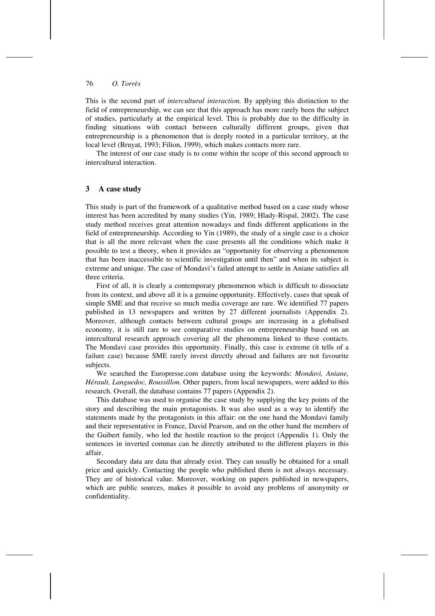This is the second part of *intercultural interaction.* By applying this distinction to the field of entrepreneurship, we can see that this approach has more rarely been the subject of studies, particularly at the empirical level. This is probably due to the difficulty in finding situations with contact between culturally different groups, given that entrepreneurship is a phenomenon that is deeply rooted in a particular territory, at the local level (Bruyat, 1993; Filion, 1999), which makes contacts more rare.

The interest of our case study is to come within the scope of this second approach to intercultural interaction.

# **3 A case study**

This study is part of the framework of a qualitative method based on a case study whose interest has been accredited by many studies (Yin, 1989; Hlady-Rispal, 2002). The case study method receives great attention nowadays and finds different applications in the field of entrepreneurship. According to Yin (1989), the study of a single case is a choice that is all the more relevant when the case presents all the conditions which make it possible to test a theory, when it provides an "opportunity for observing a phenomenon that has been inaccessible to scientific investigation until then" and when its subject is extreme and unique. The case of Mondavi's failed attempt to settle in Aniane satisfies all three criteria.

First of all, it is clearly a contemporary phenomenon which is difficult to dissociate from its context, and above all it is a genuine opportunity. Effectively, cases that speak of simple SME and that receive so much media coverage are rare. We identified 77 papers published in 13 newspapers and written by 27 different journalists (Appendix 2). Moreover, although contacts between cultural groups are increasing in a globalised economy, it is still rare to see comparative studies on entrepreneurship based on an intercultural research approach covering all the phenomena linked to these contacts. The Mondavi case provides this opportunity. Finally, this case is extreme (it tells of a failure case) because SME rarely invest directly abroad and failures are not favourite subjects.

We searched the Europresse.com database using the keywords: *Mondavi, Aniane, Hérault, Languedoc, Roussillon*. Other papers, from local newspapers, were added to this research. Overall, the database contains 77 papers (Appendix 2).

This database was used to organise the case study by supplying the key points of the story and describing the main protagonists. It was also used as a way to identify the statements made by the protagonists in this affair: on the one hand the Mondavi family and their representative in France, David Pearson, and on the other hand the members of the Guibert family, who led the hostile reaction to the project (Appendix 1). Only the sentences in inverted commas can be directly attributed to the different players in this affair.

Secondary data are data that already exist. They can usually be obtained for a small price and quickly. Contacting the people who published them is not always necessary. They are of historical value. Moreover, working on papers published in newspapers, which are public sources, makes it possible to avoid any problems of anonymity or confidentiality.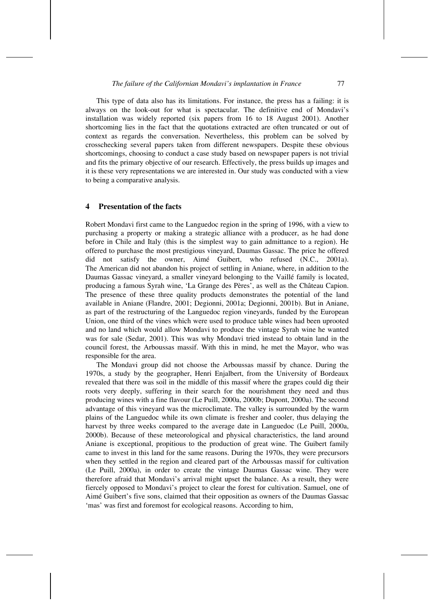This type of data also has its limitations. For instance, the press has a failing: it is always on the look-out for what is spectacular. The definitive end of Mondavi's installation was widely reported (six papers from 16 to 18 August 2001). Another shortcoming lies in the fact that the quotations extracted are often truncated or out of context as regards the conversation. Nevertheless, this problem can be solved by crosschecking several papers taken from different newspapers. Despite these obvious shortcomings, choosing to conduct a case study based on newspaper papers is not trivial and fits the primary objective of our research. Effectively, the press builds up images and it is these very representations we are interested in. Our study was conducted with a view to being a comparative analysis.

## **4 Presentation of the facts**

Robert Mondavi first came to the Languedoc region in the spring of 1996, with a view to purchasing a property or making a strategic alliance with a producer, as he had done before in Chile and Italy (this is the simplest way to gain admittance to a region). He offered to purchase the most prestigious vineyard, Daumas Gassac. The price he offered did not satisfy the owner, Aimé Guibert, who refused (N.C., 2001a). The American did not abandon his project of settling in Aniane, where, in addition to the Daumas Gassac vineyard, a smaller vineyard belonging to the Vaillé family is located, producing a famous Syrah wine, 'La Grange des Pères', as well as the Château Capion. The presence of these three quality products demonstrates the potential of the land available in Aniane (Flandre, 2001; Degionni, 2001a; Degionni, 2001b). But in Aniane, as part of the restructuring of the Languedoc region vineyards, funded by the European Union, one third of the vines which were used to produce table wines had been uprooted and no land which would allow Mondavi to produce the vintage Syrah wine he wanted was for sale (Sedar, 2001). This was why Mondavi tried instead to obtain land in the council forest, the Arboussas massif. With this in mind, he met the Mayor, who was responsible for the area.

The Mondavi group did not choose the Arboussas massif by chance. During the 1970s, a study by the geographer, Henri Enjalbert, from the University of Bordeaux revealed that there was soil in the middle of this massif where the grapes could dig their roots very deeply, suffering in their search for the nourishment they need and thus producing wines with a fine flavour (Le Puill, 2000a, 2000b; Dupont, 2000a). The second advantage of this vineyard was the microclimate. The valley is surrounded by the warm plains of the Languedoc while its own climate is fresher and cooler, thus delaying the harvest by three weeks compared to the average date in Languedoc (Le Puill, 2000a, 2000b). Because of these meteorological and physical characteristics, the land around Aniane is exceptional, propitious to the production of great wine. The Guibert family came to invest in this land for the same reasons. During the 1970s, they were precursors when they settled in the region and cleared part of the Arboussas massif for cultivation (Le Puill, 2000a), in order to create the vintage Daumas Gassac wine. They were therefore afraid that Mondavi's arrival might upset the balance. As a result, they were fiercely opposed to Mondavi's project to clear the forest for cultivation. Samuel, one of Aimé Guibert's five sons, claimed that their opposition as owners of the Daumas Gassac 'mas' was first and foremost for ecological reasons. According to him,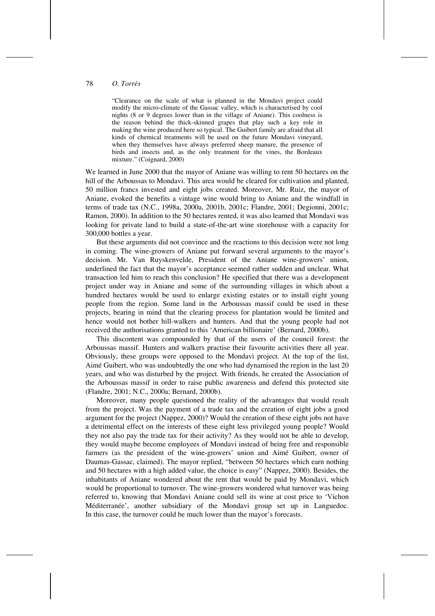"Clearance on the scale of what is planned in the Mondavi project could modify the micro-climate of the Gassac valley, which is characterised by cool nights (8 or 9 degrees lower than in the village of Aniane). This coolness is the reason behind the thick-skinned grapes that play such a key role in making the wine produced here so typical. The Guibert family are afraid that all kinds of chemical treatments will be used on the future Mondavi vineyard, when they themselves have always preferred sheep manure, the presence of birds and insects and, as the only treatment for the vines, the Bordeaux mixture." (Coignard, 2000)

We learned in June 2000 that the mayor of Aniane was willing to rent 50 hectares on the hill of the Arboussas to Mondavi. This area would be cleared for cultivation and planted, 50 million francs invested and eight jobs created. Moreover, Mr. Ruiz, the mayor of Aniane, evoked the benefits a vintage wine would bring to Aniane and the windfall in terms of trade tax (N.C., 1998a, 2000a, 2001b, 2001c; Flandre, 2001; Degionni, 2001c; Ramon, 2000). In addition to the 50 hectares rented, it was also learned that Mondavi was looking for private land to build a state-of-the-art wine storehouse with a capacity for 300,000 bottles a year.

But these arguments did not convince and the reactions to this decision were not long in coming. The wine-growers of Aniane put forward several arguments to the mayor's decision. Mr. Van Ruyskenvelde, President of the Aniane wine-growers' union, underlined the fact that the mayor's acceptance seemed rather sudden and unclear. What transaction led him to reach this conclusion? He specified that there was a development project under way in Aniane and some of the surrounding villages in which about a hundred hectares would be used to enlarge existing estates or to install eight young people from the region. Some land in the Arboussas massif could be used in these projects, bearing in mind that the clearing process for plantation would be limited and hence would not bother hill-walkers and hunters. And that the young people had not received the authorisations granted to this 'American billionaire' (Bernard, 2000b).

This discontent was compounded by that of the users of the council forest: the Arboussas massif. Hunters and walkers practise their favourite activities there all year. Obviously, these groups were opposed to the Mondavi project. At the top of the list, Aimé Guibert, who was undoubtedly the one who had dynamised the region in the last 20 years, and who was disturbed by the project. With friends, he created the Association of the Arboussas massif in order to raise public awareness and defend this protected site (Flandre, 2001; N.C., 2000a; Bernard, 2000b).

Moreover, many people questioned the reality of the advantages that would result from the project. Was the payment of a trade tax and the creation of eight jobs a good argument for the project (Nappez, 2000)? Would the creation of these eight jobs not have a detrimental effect on the interests of these eight less privileged young people? Would they not also pay the trade tax for their activity? As they would not be able to develop, they would maybe become employees of Mondavi instead of being free and responsible farmers (as the president of the wine-growers' union and Aimé Guibert, owner of Daumas-Gassac, claimed). The mayor replied, "between 50 hectares which earn nothing and 50 hectares with a high added value, the choice is easy" (Nappez, 2000). Besides, the inhabitants of Aniane wondered about the rent that would be paid by Mondavi, which would be proportional to turnover. The wine-growers wondered what turnover was being referred to, knowing that Mondavi Aniane could sell its wine at cost price to 'Vichon Méditerranée', another subsidiary of the Mondavi group set up in Languedoc. In this case, the turnover could be much lower than the mayor's forecasts.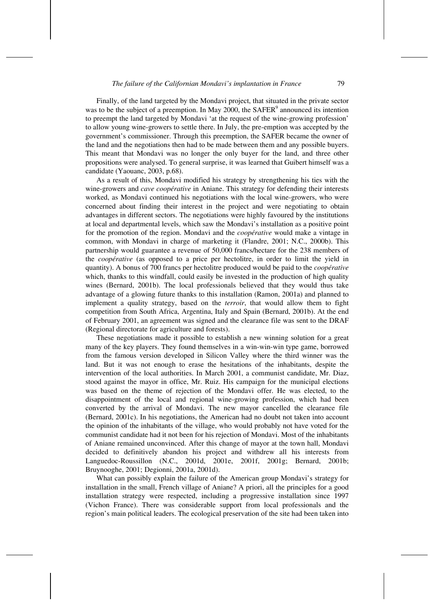Finally, of the land targeted by the Mondavi project, that situated in the private sector was to be the subject of a preemption. In May 2000, the  $SAFER<sup>9</sup>$  announced its intention to preempt the land targeted by Mondavi 'at the request of the wine-growing profession' to allow young wine-growers to settle there. In July, the pre-emption was accepted by the government's commissioner. Through this preemption, the SAFER became the owner of the land and the negotiations then had to be made between them and any possible buyers. This meant that Mondavi was no longer the only buyer for the land, and three other propositions were analysed. To general surprise, it was learned that Guibert himself was a candidate (Yaouanc, 2003, p.68).

As a result of this, Mondavi modified his strategy by strengthening his ties with the wine-growers and *cave coopérative* in Aniane. This strategy for defending their interests worked, as Mondavi continued his negotiations with the local wine-growers, who were concerned about finding their interest in the project and were negotiating to obtain advantages in different sectors. The negotiations were highly favoured by the institutions at local and departmental levels, which saw the Mondavi's installation as a positive point for the promotion of the region. Mondavi and the *coopérative* would make a vintage in common, with Mondavi in charge of marketing it (Flandre, 2001; N.C., 2000b). This partnership would guarantee a revenue of 50,000 francs/hectare for the 238 members of the *coopérative* (as opposed to a price per hectolitre, in order to limit the yield in quantity). A bonus of 700 francs per hectolitre produced would be paid to the *coopérative* which, thanks to this windfall, could easily be invested in the production of high quality wines (Bernard, 2001b). The local professionals believed that they would thus take advantage of a glowing future thanks to this installation (Ramon, 2001a) and planned to implement a quality strategy, based on the *terroir*, that would allow them to fight competition from South Africa, Argentina, Italy and Spain (Bernard, 2001b). At the end of February 2001, an agreement was signed and the clearance file was sent to the DRAF (Regional directorate for agriculture and forests).

These negotiations made it possible to establish a new winning solution for a great many of the key players. They found themselves in a win-win-win type game, borrowed from the famous version developed in Silicon Valley where the third winner was the land. But it was not enough to erase the hesitations of the inhabitants, despite the intervention of the local authorities. In March 2001, a communist candidate, Mr. Diaz, stood against the mayor in office, Mr. Ruiz. His campaign for the municipal elections was based on the theme of rejection of the Mondavi offer. He was elected, to the disappointment of the local and regional wine-growing profession, which had been converted by the arrival of Mondavi. The new mayor cancelled the clearance file (Bernard, 2001c). In his negotiations, the American had no doubt not taken into account the opinion of the inhabitants of the village, who would probably not have voted for the communist candidate had it not been for his rejection of Mondavi. Most of the inhabitants of Aniane remained unconvinced. After this change of mayor at the town hall, Mondavi decided to definitively abandon his project and withdrew all his interests from Languedoc-Roussillon (N.C., 2001d, 2001e, 2001f, 2001g; Bernard, 2001b; Bruynooghe, 2001; Degionni, 2001a, 2001d).

What can possibly explain the failure of the American group Mondavi's strategy for installation in the small, French village of Aniane? A priori, all the principles for a good installation strategy were respected, including a progressive installation since 1997 (Vichon France). There was considerable support from local professionals and the region's main political leaders. The ecological preservation of the site had been taken into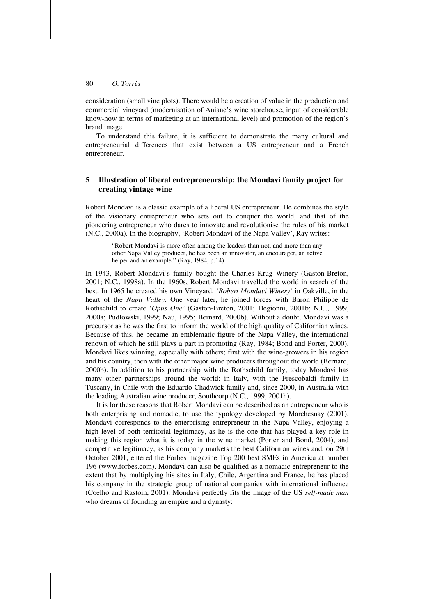consideration (small vine plots). There would be a creation of value in the production and commercial vineyard (modernisation of Aniane's wine storehouse, input of considerable know-how in terms of marketing at an international level) and promotion of the region's brand image.

To understand this failure, it is sufficient to demonstrate the many cultural and entrepreneurial differences that exist between a US entrepreneur and a French entrepreneur.

# **5 Illustration of liberal entrepreneurship: the Mondavi family project for creating vintage wine**

Robert Mondavi is a classic example of a liberal US entrepreneur. He combines the style of the visionary entrepreneur who sets out to conquer the world, and that of the pioneering entrepreneur who dares to innovate and revolutionise the rules of his market (N.C., 2000a). In the biography, 'Robert Mondavi of the Napa Valley', Ray writes:

> "Robert Mondavi is more often among the leaders than not, and more than any other Napa Valley producer, he has been an innovator, an encourager, an active helper and an example." (Ray, 1984, p.14)

In 1943, Robert Mondavi's family bought the Charles Krug Winery (Gaston-Breton, 2001; N.C., 1998a). In the 1960s, Robert Mondavi travelled the world in search of the best. In 1965 he created his own Vineyard, '*Robert Mondavi Winery*' in Oakville, in the heart of the *Napa Valley.* One year later, he joined forces with Baron Philippe de Rothschild to create '*Opus One'* (Gaston-Breton, 2001; Degionni, 2001b; N.C., 1999, 2000a; Pudlowski, 1999; Nau, 1995; Bernard, 2000b). Without a doubt, Mondavi was a precursor as he was the first to inform the world of the high quality of Californian wines. Because of this, he became an emblematic figure of the Napa Valley, the international renown of which he still plays a part in promoting (Ray, 1984; Bond and Porter, 2000). Mondavi likes winning, especially with others; first with the wine-growers in his region and his country, then with the other major wine producers throughout the world (Bernard, 2000b). In addition to his partnership with the Rothschild family, today Mondavi has many other partnerships around the world: in Italy, with the Frescobaldi family in Tuscany, in Chile with the Eduardo Chadwick family and, since 2000, in Australia with the leading Australian wine producer, Southcorp (N.C., 1999, 2001h).

It is for these reasons that Robert Mondavi can be described as an entrepreneur who is both enterprising and nomadic, to use the typology developed by Marchesnay (2001). Mondavi corresponds to the enterprising entrepreneur in the Napa Valley, enjoying a high level of both territorial legitimacy, as he is the one that has played a key role in making this region what it is today in the wine market (Porter and Bond, 2004), and competitive legitimacy, as his company markets the best Californian wines and, on 29th October 2001, entered the Forbes magazine Top 200 best SMEs in America at number 196 (www.forbes.com). Mondavi can also be qualified as a nomadic entrepreneur to the extent that by multiplying his sites in Italy, Chile, Argentina and France, he has placed his company in the strategic group of national companies with international influence (Coelho and Rastoin, 2001). Mondavi perfectly fits the image of the US *self-made man* who dreams of founding an empire and a dynasty: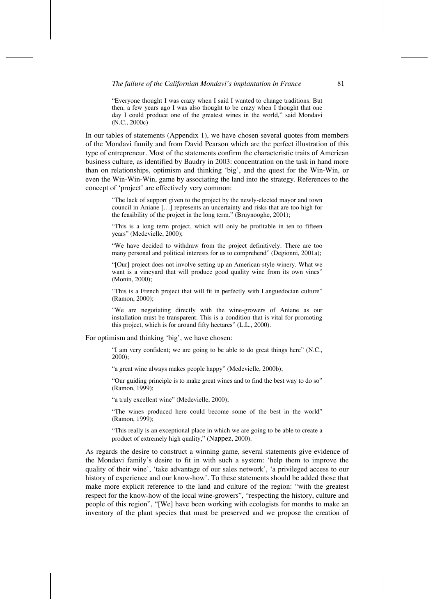*The failure of the Californian Mondavi's implantation in France* 81

"Everyone thought I was crazy when I said I wanted to change traditions. But then, a few years ago I was also thought to be crazy when I thought that one day I could produce one of the greatest wines in the world," said Mondavi (N.C., 2000c)

In our tables of statements (Appendix 1), we have chosen several quotes from members of the Mondavi family and from David Pearson which are the perfect illustration of this type of entrepreneur. Most of the statements confirm the characteristic traits of American business culture, as identified by Baudry in 2003: concentration on the task in hand more than on relationships, optimism and thinking 'big', and the quest for the Win-Win, or even the Win-Win-Win, game by associating the land into the strategy. References to the concept of 'project' are effectively very common:

"The lack of support given to the project by the newly-elected mayor and town council in Aniane […] represents an uncertainty and risks that are too high for the feasibility of the project in the long term." (Bruynooghe, 2001);

"This is a long term project, which will only be profitable in ten to fifteen years" (Medevielle, 2000);

"We have decided to withdraw from the project definitively. There are too many personal and political interests for us to comprehend" (Degionni, 2001a);

"[Our] project does not involve setting up an American-style winery. What we want is a vineyard that will produce good quality wine from its own vines" (Monin, 2000);

"This is a French project that will fit in perfectly with Languedocian culture" (Ramon, 2000);

"We are negotiating directly with the wine-growers of Aniane as our installation must be transparent. This is a condition that is vital for promoting this project, which is for around fifty hectares" (L.L., 2000).

For optimism and thinking 'big', we have chosen:

"I am very confident; we are going to be able to do great things here" (N.C., 2000);

"a great wine always makes people happy" (Medevielle, 2000b);

"Our guiding principle is to make great wines and to find the best way to do so" (Ramon, 1999);

"a truly excellent wine" (Medevielle, 2000);

"The wines produced here could become some of the best in the world" (Ramon, 1999);

"This really is an exceptional place in which we are going to be able to create a product of extremely high quality," (Nappez, 2000).

As regards the desire to construct a winning game, several statements give evidence of the Mondavi family's desire to fit in with such a system: 'help them to improve the quality of their wine', 'take advantage of our sales network', 'a privileged access to our history of experience and our know-how'. To these statements should be added those that make more explicit reference to the land and culture of the region: "with the greatest respect for the know-how of the local wine-growers", "respecting the history, culture and people of this region", "[We] have been working with ecologists for months to make an inventory of the plant species that must be preserved and we propose the creation of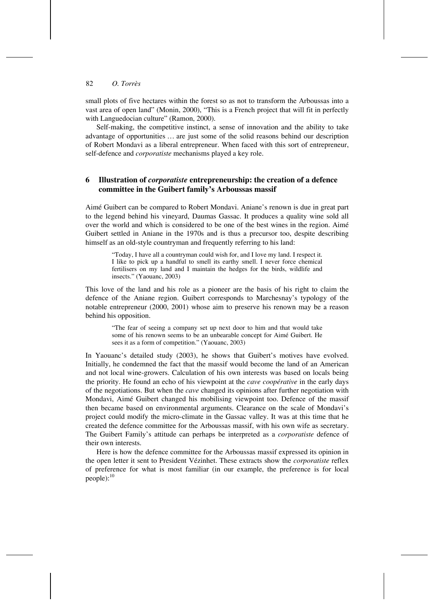small plots of five hectares within the forest so as not to transform the Arboussas into a vast area of open land" (Monin, 2000), "This is a French project that will fit in perfectly with Languedocian culture" (Ramon, 2000).

Self-making, the competitive instinct, a sense of innovation and the ability to take advantage of opportunities … are just some of the solid reasons behind our description of Robert Mondavi as a liberal entrepreneur. When faced with this sort of entrepreneur, self-defence and *corporatiste* mechanisms played a key role.

# **6 Illustration of** *corporatiste* **entrepreneurship: the creation of a defence committee in the Guibert family's Arboussas massif**

Aimé Guibert can be compared to Robert Mondavi. Aniane's renown is due in great part to the legend behind his vineyard, Daumas Gassac. It produces a quality wine sold all over the world and which is considered to be one of the best wines in the region. Aimé Guibert settled in Aniane in the 1970s and is thus a precursor too, despite describing himself as an old-style countryman and frequently referring to his land:

> "Today, I have all a countryman could wish for, and I love my land. I respect it. I like to pick up a handful to smell its earthy smell. I never force chemical fertilisers on my land and I maintain the hedges for the birds, wildlife and insects." (Yaouanc, 2003)

This love of the land and his role as a pioneer are the basis of his right to claim the defence of the Aniane region. Guibert corresponds to Marchesnay's typology of the notable entrepreneur (2000, 2001) whose aim to preserve his renown may be a reason behind his opposition.

"The fear of seeing a company set up next door to him and that would take some of his renown seems to be an unbearable concept for Aimé Guibert. He sees it as a form of competition." (Yaouanc, 2003)

In Yaouanc's detailed study (2003), he shows that Guibert's motives have evolved. Initially, he condemned the fact that the massif would become the land of an American and not local wine-growers. Calculation of his own interests was based on locals being the priority. He found an echo of his viewpoint at the *cave coopérative* in the early days of the negotiations. But when the *cave* changed its opinions after further negotiation with Mondavi, Aimé Guibert changed his mobilising viewpoint too. Defence of the massif then became based on environmental arguments. Clearance on the scale of Mondavi's project could modify the micro-climate in the Gassac valley. It was at this time that he created the defence committee for the Arboussas massif, with his own wife as secretary. The Guibert Family's attitude can perhaps be interpreted as a *corporatiste* defence of their own interests.

Here is how the defence committee for the Arboussas massif expressed its opinion in the open letter it sent to President Vézinhet. These extracts show the *corporatiste* reflex of preference for what is most familiar (in our example, the preference is for local  $people)$ :<sup>10</sup>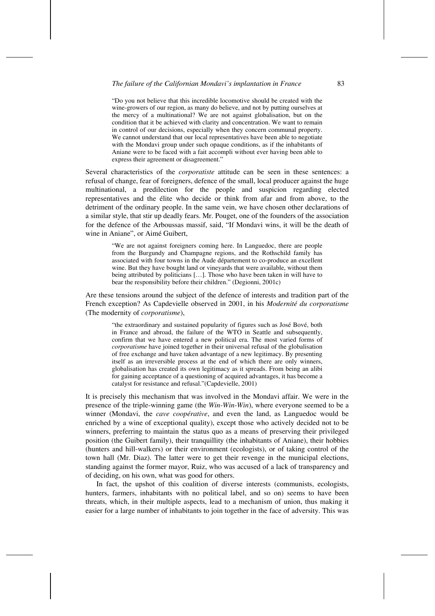#### *The failure of the Californian Mondavi's implantation in France* 83

"Do you not believe that this incredible locomotive should be created with the wine-growers of our region, as many do believe, and not by putting ourselves at the mercy of a multinational? We are not against globalisation, but on the condition that it be achieved with clarity and concentration. We want to remain in control of our decisions, especially when they concern communal property. We cannot understand that our local representatives have been able to negotiate with the Mondavi group under such opaque conditions, as if the inhabitants of Aniane were to be faced with a fait accompli without ever having been able to express their agreement or disagreement."

Several characteristics of the *corporatiste* attitude can be seen in these sentences: a refusal of change, fear of foreigners, defence of the small, local producer against the huge multinational, a predilection for the people and suspicion regarding elected representatives and the élite who decide or think from afar and from above, to the detriment of the ordinary people. In the same vein, we have chosen other declarations of a similar style, that stir up deadly fears. Mr. Pouget, one of the founders of the association for the defence of the Arboussas massif, said, "If Mondavi wins, it will be the death of wine in Aniane", or Aimé Guibert,

"We are not against foreigners coming here. In Languedoc, there are people from the Burgundy and Champagne regions, and the Rothschild family has associated with four towns in the Aude département to co-produce an excellent wine. But they have bought land or vineyards that were available, without them being attributed by politicians […]. Those who have been taken in will have to bear the responsibility before their children." (Degionni, 2001c)

Are these tensions around the subject of the defence of interests and tradition part of the French exception? As Capdevielle observed in 2001, in his *Modernité du corporatisme*  (The modernity of *corporatisme*),

"the extraordinary and sustained popularity of figures such as José Bové, both in France and abroad, the failure of the WTO in Seattle and subsequently, confirm that we have entered a new political era. The most varied forms of *corporatisme* have joined together in their universal refusal of the globalisation of free exchange and have taken advantage of a new legitimacy. By presenting itself as an irreversible process at the end of which there are only winners, globalisation has created its own legitimacy as it spreads. From being an alibi for gaining acceptance of a questioning of acquired advantages, it has become a catalyst for resistance and refusal."(Capdevielle, 2001)

It is precisely this mechanism that was involved in the Mondavi affair. We were in the presence of the triple-winning game (the *Win-Win-Win*), where everyone seemed to be a winner (Mondavi, the *cave coopérative*, and even the land, as Languedoc would be enriched by a wine of exceptional quality), except those who actively decided not to be winners, preferring to maintain the status quo as a means of preserving their privileged position (the Guibert family), their tranquillity (the inhabitants of Aniane), their hobbies (hunters and hill-walkers) or their environment (ecologists), or of taking control of the town hall (Mr. Diaz). The latter were to get their revenge in the municipal elections, standing against the former mayor, Ruiz, who was accused of a lack of transparency and of deciding, on his own, what was good for others.

In fact, the upshot of this coalition of diverse interests (communists, ecologists, hunters, farmers, inhabitants with no political label, and so on) seems to have been threats, which, in their multiple aspects, lead to a mechanism of union, thus making it easier for a large number of inhabitants to join together in the face of adversity. This was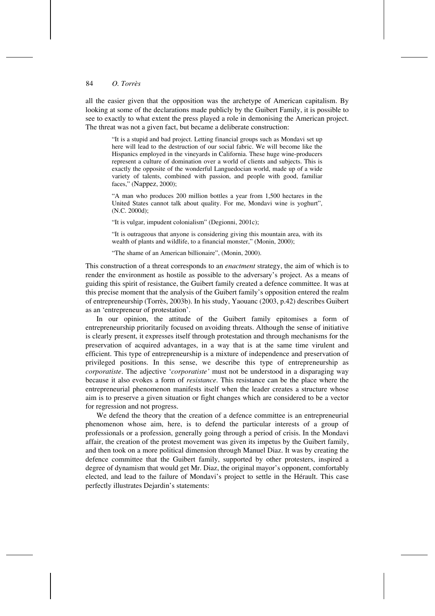all the easier given that the opposition was the archetype of American capitalism. By looking at some of the declarations made publicly by the Guibert Family, it is possible to see to exactly to what extent the press played a role in demonising the American project. The threat was not a given fact, but became a deliberate construction:

"It is a stupid and bad project. Letting financial groups such as Mondavi set up here will lead to the destruction of our social fabric. We will become like the Hispanics employed in the vineyards in California. These huge wine-producers represent a culture of domination over a world of clients and subjects. This is exactly the opposite of the wonderful Languedocian world, made up of a wide variety of talents, combined with passion, and people with good, familiar faces," (Nappez, 2000);

"A man who produces 200 million bottles a year from 1,500 hectares in the United States cannot talk about quality. For me, Mondavi wine is yoghurt", (N.C. 2000d);

"It is vulgar, impudent colonialism" (Degionni, 2001c);

"It is outrageous that anyone is considering giving this mountain area, with its wealth of plants and wildlife, to a financial monster," (Monin, 2000);

"The shame of an American billionaire", (Monin, 2000).

This construction of a threat corresponds to an *enactment* strategy, the aim of which is to render the environment as hostile as possible to the adversary's project. As a means of guiding this spirit of resistance, the Guibert family created a defence committee. It was at this precise moment that the analysis of the Guibert family's opposition entered the realm of entrepreneurship (Torrès, 2003b). In his study, Yaouanc (2003, p.42) describes Guibert as an 'entrepreneur of protestation'.

In our opinion, the attitude of the Guibert family epitomises a form of entrepreneurship prioritarily focused on avoiding threats. Although the sense of initiative is clearly present, it expresses itself through protestation and through mechanisms for the preservation of acquired advantages, in a way that is at the same time virulent and efficient. This type of entrepreneurship is a mixture of independence and preservation of privileged positions. In this sense, we describe this type of entrepreneurship as *corporatiste*. The adjective '*corporatiste'* must not be understood in a disparaging way because it also evokes a form of *resistance*. This resistance can be the place where the entrepreneurial phenomenon manifests itself when the leader creates a structure whose aim is to preserve a given situation or fight changes which are considered to be a vector for regression and not progress.

We defend the theory that the creation of a defence committee is an entrepreneurial phenomenon whose aim, here, is to defend the particular interests of a group of professionals or a profession, generally going through a period of crisis. In the Mondavi affair, the creation of the protest movement was given its impetus by the Guibert family, and then took on a more political dimension through Manuel Diaz. It was by creating the defence committee that the Guibert family, supported by other protesters, inspired a degree of dynamism that would get Mr. Diaz, the original mayor's opponent, comfortably elected, and lead to the failure of Mondavi's project to settle in the Hérault. This case perfectly illustrates Dejardin's statements: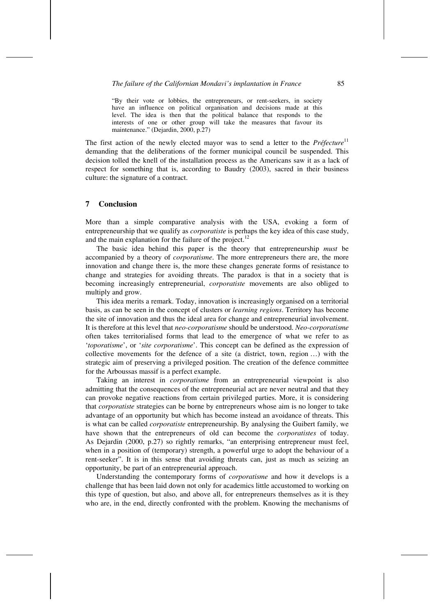"By their vote or lobbies, the entrepreneurs, or rent-seekers, in society have an influence on political organisation and decisions made at this level. The idea is then that the political balance that responds to the interests of one or other group will take the measures that favour its maintenance." (Dejardin, 2000, p.27)

The first action of the newly elected mayor was to send a letter to the *Préfecture*<sup>11</sup> demanding that the deliberations of the former municipal council be suspended. This decision tolled the knell of the installation process as the Americans saw it as a lack of respect for something that is, according to Baudry (2003), sacred in their business culture: the signature of a contract.

## **7 Conclusion**

More than a simple comparative analysis with the USA, evoking a form of entrepreneurship that we qualify as *corporatiste* is perhaps the key idea of this case study, and the main explanation for the failure of the project.<sup>12</sup>

The basic idea behind this paper is the theory that entrepreneurship *must* be accompanied by a theory of *corporatisme*. The more entrepreneurs there are, the more innovation and change there is, the more these changes generate forms of resistance to change and strategies for avoiding threats. The paradox is that in a society that is becoming increasingly entrepreneurial, *corporatiste* movements are also obliged to multiply and grow.

This idea merits a remark. Today, innovation is increasingly organised on a territorial basis, as can be seen in the concept of clusters or *learning regions*. Territory has become the site of innovation and thus the ideal area for change and entrepreneurial involvement. It is therefore at this level that *neo-corporatisme* should be understood. *Neo-corporatisme* often takes territorialised forms that lead to the emergence of what we refer to as '*toporatisme*', or '*site corporatisme*'. This concept can be defined as the expression of collective movements for the defence of a site (a district, town, region …) with the strategic aim of preserving a privileged position. The creation of the defence committee for the Arboussas massif is a perfect example.

Taking an interest in *corporatisme* from an entrepreneurial viewpoint is also admitting that the consequences of the entrepreneurial act are never neutral and that they can provoke negative reactions from certain privileged parties. More, it is considering that *corporatiste* strategies can be borne by entrepreneurs whose aim is no longer to take advantage of an opportunity but which has become instead an avoidance of threats. This is what can be called *corporatiste* entrepreneurship. By analysing the Guibert family, we have shown that the entrepreneurs of old can become the *corporatistes* of today. As Dejardin (2000, p.27) so rightly remarks, "an enterprising entrepreneur must feel, when in a position of (temporary) strength, a powerful urge to adopt the behaviour of a rent-seeker". It is in this sense that avoiding threats can, just as much as seizing an opportunity, be part of an entrepreneurial approach.

Understanding the contemporary forms of *corporatisme* and how it develops is a challenge that has been laid down not only for academics little accustomed to working on this type of question, but also, and above all, for entrepreneurs themselves as it is they who are, in the end, directly confronted with the problem. Knowing the mechanisms of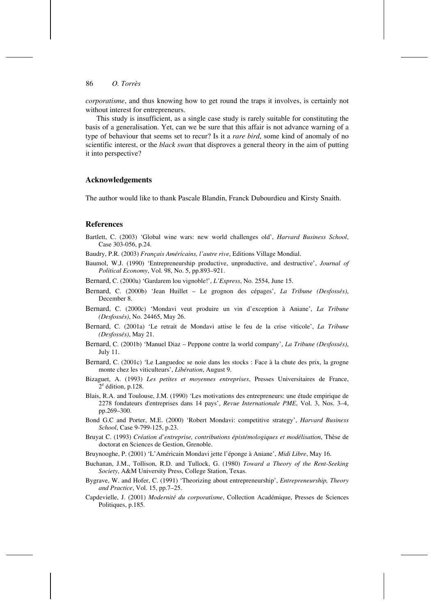*corporatisme*, and thus knowing how to get round the traps it involves, is certainly not without interest for entrepreneurs.

This study is insufficient, as a single case study is rarely suitable for constituting the basis of a generalisation. Yet, can we be sure that this affair is not advance warning of a type of behaviour that seems set to recur? Is it a *rare bird*, some kind of anomaly of no scientific interest, or the *black swan* that disproves a general theory in the aim of putting it into perspective?

## **Acknowledgements**

The author would like to thank Pascale Blandin, Franck Dubourdieu and Kirsty Snaith.

#### **References**

- Bartlett, C. (2003) 'Global wine wars: new world challenges old', *Harvard Business School*, Case 303-056, p.24.
- Baudry, P.R. (2003) *Français Américains, l'autre rive*, Editions Village Mondial.
- Baumol, W.J. (1990) 'Entrepreneurship productive, unproductive, and destructive', *Journal of Political Economy*, Vol. 98, No. 5, pp.893–921.
- Bernard, C. (2000a) 'Gardarem lou vignoble!', *L'Express*, No. 2554, June 15.
- Bernard, C. (2000b) 'Jean Huillet Le grognon des cépages', *La Tribune (Desfossés)*, December 8.
- Bernard, C. (2000c) 'Mondavi veut produire un vin d'exception à Aniane', *La Tribune (Desfossés)*, No. 24465, May 26.
- Bernard, C. (2001a) 'Le retrait de Mondavi attise le feu de la crise viticole', *La Tribune (Desfossés)*, May 21.
- Bernard, C. (2001b) 'Manuel Diaz Peppone contre la world company', *La Tribune (Desfossés)*, July 11.
- Bernard, C. (2001c) 'Le Languedoc se noie dans les stocks : Face à la chute des prix, la grogne monte chez les viticulteurs', *Libération*, August 9.
- Bizaguet, A. (1993) *Les petites et moyennes entreprises*, Presses Universitaires de France,  $2^e$  édition, p.128.
- Blais, R.A. and Toulouse, J.M. (1990) 'Les motivations des entrepreneurs: une étude empirique de 2278 fondateurs d'entreprises dans 14 pays', *Revue Internationale PME*, Vol. 3, Nos. 3–4, pp.269–300.
- Bond G.C and Porter, M.E. (2000) 'Robert Mondavi: competitive strategy', *Harvard Business School*, Case 9-799-125, p.23.
- Bruyat C. (1993) *Création d'entreprise, contributions épistémologiques et modélisation*, Thèse de doctorat en Sciences de Gestion, Grenoble.
- Bruynooghe, P. (2001) 'L'Américain Mondavi jette l'éponge à Aniane', *Midi Libre*, May 16.
- Buchanan, J.M., Tollison, R.D. and Tullock, G. (1980) *Toward a Theory of the Rent-Seeking Society*, A&M University Press, College Station, Texas.
- Bygrave, W. and Hofer, C. (1991) 'Theorizing about entrepreneurship', *Entrepreneurship, Theory and Practice*, Vol. 15, pp.7–25.
- Capdevielle, J. (2001) *Modernité du corporatisme*, Collection Académique, Presses de Sciences Politiques, p.185.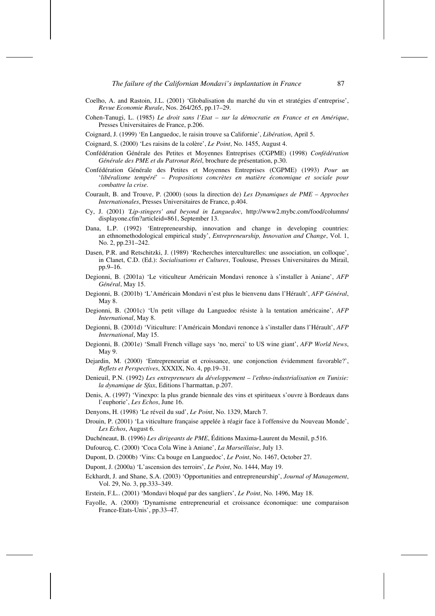- Coelho, A. and Rastoin, J.L. (2001) 'Globalisation du marché du vin et stratégies d'entreprise', *Revue Economie Rurale*, Nos. 264/265, pp.17–29.
- Cohen-Tanugi, L. (1985) *Le droit sans l'Etat sur la démocratie en France et en Amérique*, Presses Universitaires de France, p.206.
- Coignard, J. (1999) 'En Languedoc, le raisin trouve sa Californie', *Libération*, April 5.

Coignard, S. (2000) 'Les raisins de la colère', *Le Point*, No. 1455, August 4.

- Confédération Générale des Petites et Moyennes Entreprises (CGPME) (1998) *Confédération Générale des PME et du Patronat Réel*, brochure de présentation, p.30.
- Confédération Générale des Petites et Moyennes Entreprises (CGPME) (1993) *Pour un*  '*libéralisme tempéré*' *– Propositions concrètes en matière économique et sociale pour combattre la crise*.
- Courault, B. and Trouve, P. (2000) (sous la direction de) *Les Dynamiques de PME Approches Internationales*, Presses Universitaires de France, p.404.
- Cy, J. (2001) *'Lip-stingers' and beyond in Languedoc*, http://www2.mybc.com/food/columns/ displayone.cfm?articleid=861, September 13.
- Dana, L.P. (1992) 'Entrepreneurship, innovation and change in developing countries: an ethnomethodological empirical study', *Entrepreneurship, Innovation and Change*, Vol. 1, No. 2, pp.231–242.
- Dasen, P.R. and Retschitzki, J. (1989) 'Recherches interculturelles: une association, un colloque', in Clanet, C.D. (Ed.): *Socialisations et Cultures*, Toulouse, Presses Universitaires du Mirail, pp.9–16.
- Degionni, B. (2001a) 'Le viticulteur Américain Mondavi renonce à s'installer à Aniane', *AFP Général*, May 15.
- Degionni, B. (2001b) 'L'Américain Mondavi n'est plus le bienvenu dans l'Hérault', *AFP Général*, May 8.
- Degionni, B. (2001c) 'Un petit village du Languedoc résiste à la tentation américaine', *AFP International*, May 8.
- Degionni, B. (2001d) 'Viticulture: l'Américain Mondavi renonce à s'installer dans l'Hérault', *AFP International*, May 15.
- Degionni, B. (2001e) 'Small French village says 'no, merci' to US wine giant', *AFP World News*, May 9.
- Dejardin, M. (2000) 'Entrepreneuriat et croissance, une conjonction évidemment favorable?', *Reflets et Perspectives*, XXXIX, No. 4, pp.19–31.
- Denieuil, P.N. (1992) *Les entrepreneurs du développement l'ethno-industrialisation en Tunisie: la dynamique de Sfax*, Editions l'harmattan, p.207.
- Denis, A. (1997) 'Vinexpo: la plus grande biennale des vins et spiritueux s'ouvre à Bordeaux dans l'euphorie', *Les Echos*, June 16.
- Denyons, H. (1998) 'Le réveil du sud', *Le Point*, No. 1329, March 7.
- Drouin, P. (2001) 'La viticulture française appelée à réagir face à l'offensive du Nouveau Monde', *Les Echos*, August 6.
- Duchéneaut, B. (1996) *Les dirigeants de PME*, Éditions Maxima-Laurent du Mesnil, p.516.
- Dufourcq, C. (2000) 'Coca Cola Wine à Aniane', *La Marseillaise*, July 13.
- Dupont, D. (2000b) 'Vins: Ca bouge en Languedoc', *Le Point*, No. 1467, October 27.
- Dupont, J. (2000a) 'L'ascension des terroirs', *Le Point*, No. 1444, May 19.
- Eckhardt, J. and Shane, S.A. (2003) 'Opportunities and entrepreneurship', *Journal of Management*, Vol. 29, No. 3, pp.333–349.
- Erstein, F.L.. (2001) 'Mondavi bloqué par des sangliers', *Le Point*, No. 1496, May 18.
- Fayolle, A. (2000) 'Dynamisme entrepreneurial et croissance économique: une comparaison France-Etats-Unis', pp.33–47.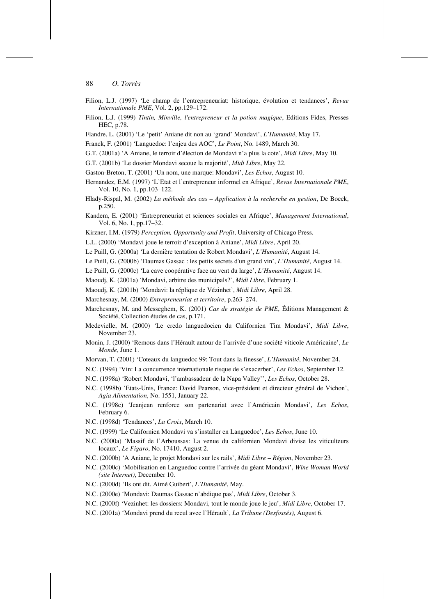- Filion, L.J. (1997) 'Le champ de l'entrepreneuriat: historique, évolution et tendances', *Revue Internationale PME*, Vol. 2, pp.129–172.
- Filion, L.J. (1999) *Tintin, Minville, l'entrepreneur et la potion magique*, Editions Fides, Presses HEC, p.78.
- Flandre, L. (2001) 'Le 'petit' Aniane dit non au 'grand' Mondavi', *L'Humanité*, May 17.
- Franck, F. (2001) 'Languedoc: l'enjeu des AOC', *Le Point*, No. 1489, March 30.
- G.T. (2001a) 'A Aniane, le terroir d'élection de Mondavi n'a plus la cote', *Midi Libre*, May 10.
- G.T. (2001b) 'Le dossier Mondavi secoue la majorité', *Midi Libre*, May 22.
- Gaston-Breton, T. (2001) 'Un nom, une marque: Mondavi', *Les Echos*, August 10.
- Hernandez, E.M. (1997) 'L'Etat et l'entrepreneur informel en Afrique', *Revue Internationale PME*, Vol. 10, No. 1, pp.103–122.
- Hlady-Rispal, M. (2002) *La méthode des cas Application à la recherche en gestion*, De Boeck, p.250.
- Kandem, E. (2001) 'Entrepreneuriat et sciences sociales en Afrique', *Management International*, Vol. 6, No. 1, pp.17–32.
- Kirzner, I.M. (1979) *Perception, Opportunity and Profit*, University of Chicago Press.
- L.L. (2000) 'Mondavi joue le terroir d'exception à Aniane', *Midi Libre*, April 20.
- Le Puill, G. (2000a) 'La dernière tentation de Robert Mondavi', *L'Humanité*, August 14.
- Le Puill, G. (2000b) 'Daumas Gassac : les petits secrets d'un grand vin', *L'Humanité*, August 14.
- Le Puill, G. (2000c) 'La cave coopérative face au vent du large', *L'Humanité*, August 14.
- Maoudj, K. (2001a) 'Mondavi, arbitre des municipals?', *Midi Libre*, February 1.
- Maoudj, K. (2001b) 'Mondavi: la réplique de Vézinhet', *Midi Libre*, April 28.
- Marchesnay, M. (2000) *Entrepreneuriat et territoire*, p.263–274.
- Marchesnay, M. and Messeghem, K. (2001) *Cas de stratégie de PME*, Éditions Management & Société, Collection études de cas, p.171.
- Medevielle, M. (2000) 'Le credo languedocien du Californien Tim Mondavi', *Midi Libre*, November 23.
- Monin, J. (2000) 'Remous dans l'Hérault autour de l'arrivée d'une société viticole Américaine', *Le Monde*, June 1.
- Morvan, T. (2001) 'Coteaux du languedoc 99: Tout dans la finesse', *L'Humanité*, November 24.
- N.C. (1994) 'Vin: La concurrence internationale risque de s'exacerber', *Les Echos*, September 12.
- N.C. (1998a) 'Robert Mondavi, 'l'ambassadeur de la Napa Valley'', *Les Echos*, October 28.
- N.C. (1998b) 'Etats-Unis, France: David Pearson, vice-président et directeur général de Vichon', *Agia Alimentation*, No. 1551, January 22.
- N.C. (1998c) 'Jeanjean renforce son partenariat avec l'Américain Mondavi', *Les Echos*, February 6.
- N.C. (1998d) 'Tendances', *La Croix*, March 10.
- N.C. (1999) 'Le Californien Mondavi va s'installer en Languedoc', *Les Echos*, June 10.
- N.C. (2000a) 'Massif de l'Arboussas: La venue du californien Mondavi divise les viticulteurs locaux', *Le Figaro*, No. 17410, August 2.
- N.C. (2000b) 'A Aniane, le projet Mondavi sur les rails', *Midi Libre Région*, November 23.
- N.C. (2000c) 'Mobilisation en Languedoc contre l'arrivée du géant Mondavi', *Wine Woman World (site Internet)*, December 10.
- N.C. (2000d) 'Ils ont dit. Aimé Guibert', *L'Humanité*, May.
- N.C. (2000e) 'Mondavi: Daumas Gassac n'abdique pas', *Midi Libre*, October 3.
- N.C. (2000f) 'Vezinhet: les dossiers: Mondavi, tout le monde joue le jeu', *Midi Libre*, October 17.
- N.C. (2001a) 'Mondavi prend du recul avec l'Hérault', *La Tribune (Desfossés)*, August 6.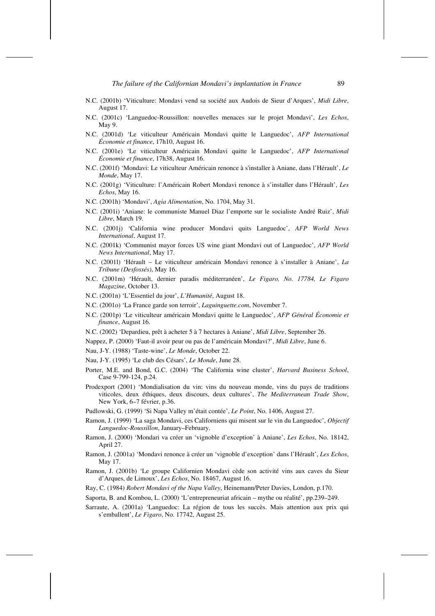- N.C. (2001b) 'Viticulture: Mondavi vend sa société aux Audois de Sieur d'Arques', *Midi Libre*, August 17.
- N.C. (2001c) 'Languedoc-Roussillon: nouvelles menaces sur le projet Mondavi', *Les Echos*, May 9.
- N.C. (2001d) 'Le viticulteur Américain Mondavi quitte le Languedoc', *AFP International Économie et finance*, 17h10, August 16.
- N.C. (2001e) 'Le viticulteur Américain Mondavi quitte le Languedoc', *AFP International Économie et finance*, 17h38, August 16.
- N.C. (2001f) 'Mondavi: Le viticulteur Américain renonce à s'installer à Aniane, dans l'Hérault', *Le Monde*, May 17.
- N.C. (2001g) 'Viticulture: l'Américain Robert Mondavi renonce à s'installer dans l'Hérault', *Les Echos*, May 16.
- N.C. (2001h) 'Mondavi', *Agia Alimentation*, No. 1704, May 31.
- N.C. (2001i) 'Aniane: le communiste Manuel Diaz l'emporte sur le socialiste André Ruiz', *Midi Libre*, March 19.
- N.C. (2001j) 'California wine producer Mondavi quits Languedoc', *AFP World News International*, August 17.
- N.C. (2001k) 'Communist mayor forces US wine giant Mondavi out of Languedoc', *AFP World News International*, May 17.
- N.C. (2001l) 'Hérault Le viticulteur américain Mondavi renonce à s'installer à Aniane', *La Tribune (Desfossés)*, May 16.
- N.C. (2001m) 'Hérault, dernier paradis méditerranéen', *Le Figaro, No. 17784, Le Figaro Magazine*, October 13.
- N.C. (2001n) 'L'Essentiel du jour', *L'Humanité*, August 18.
- N.C. (2001o) 'La France garde son terroir', *Laguinguette.com*, November 7.
- N.C. (2001p) 'Le viticulteur américain Mondavi quitte le Languedoc', *AFP Général Économie et finance*, August 16.
- N.C. (2002) 'Depardieu, prêt à acheter 5 à 7 hectares à Aniane', *Midi Libre*, September 26.
- Nappez, P. (2000) 'Faut-il avoir peur ou pas de l'américain Mondavi?', *Midi Libre*, June 6.
- Nau, J-Y. (1988) 'Taste-wine', *Le Monde*, October 22.
- Nau, J-Y. (1995) 'Le club des Césars', *Le Monde*, June 28.
- Porter, M.E. and Bond, G.C. (2004) 'The California wine cluster', *Harvard Business School*, Case 9-799-124, p.24.
- Prodexport (2001) 'Mondialisation du vin: vins du nouveau monde, vins du pays de traditions viticoles, deux éthiques, deux discours, deux cultures', *The Mediterranean Trade Show*, New York, 6–7 février, p.36.
- Pudlowski, G. (1999) 'Si Napa Valley m'était contée', *Le Point*, No. 1406, August 27.
- Ramon, J. (1999) 'La saga Mondavi, ces Californiens qui misent sur le vin du Languedoc', *Objectif Languedoc-Roussillon*, January–February.
- Ramon, J. (2000) 'Mondari va créer un 'vignoble d'exception' à Aniane', *Les Echos*, No. 18142, April 27.
- Ramon, J. (2001a) 'Mondavi renonce à créer un 'vignoble d'exception' dans l'Hérault', *Les Echos*, May 17.
- Ramon, J. (2001b) 'Le groupe Californien Mondavi cède son activité vins aux caves du Sieur d'Arques, de Limoux', *Les Echos*, No. 18467, August 16.
- Ray, C. (1984) *Robert Mondavi of the Napa Valley*, Heinemann/Peter Davies, London, p.170.
- Saporta, B. and Kombou, L. (2000) 'L'entrepreneuriat africain mythe ou réalité', pp.239–249.
- Sarraute, A. (2001a) 'Languedoc: La région de tous les succès. Mais attention aux prix qui s'emballent', *Le Figaro*, No. 17742, August 25.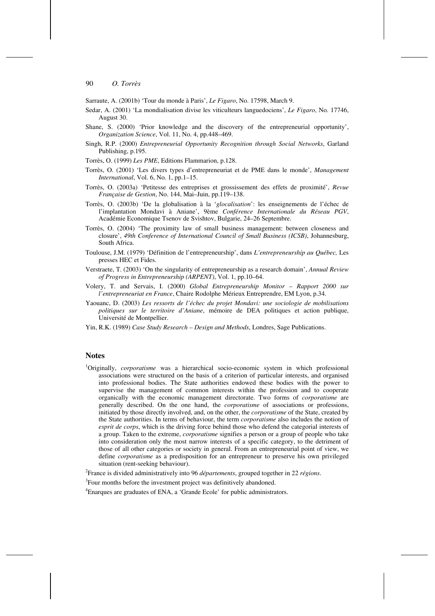Sarraute, A. (2001b) 'Tour du monde à Paris', *Le Figaro*, No. 17598, March 9.

- Sedar, A. (2001) 'La mondialisation divise les viticulteurs languedociens', *Le Figaro*, No. 17746, August 30.
- Shane, S. (2000) 'Prior knowledge and the discovery of the entrepreneurial opportunity', *Organization Science*, Vol. 11, No. 4, pp.448–469.
- Singh, R.P. (2000) *Entrepreneurial Opportunity Recognition through Social Networks*, Garland Publishing, p.195.
- Torrès, O. (1999) *Les PME*, Editions Flammarion, p.128.
- Torrès, O. (2001) 'Les divers types d'entrepreneuriat et de PME dans le monde', *Management International*, Vol. 6, No. 1, pp.1–15.
- Torrès, O. (2003a) 'Petitesse des entreprises et grossissement des effets de proximité', *Revue Française de Gestion*, No. 144, Mai–Juin, pp.119–138.
- Torrès, O. (2003b) 'De la globalisation à la '*glocalisation*': les enseignements de l'échec de l'implantation Mondavi à Aniane', 9ème *Conférence Internationale du Réseau PGV*, Académie Economique Tsenov de Svishtov, Bulgarie, 24–26 Septembre.
- Torrès, O. (2004) 'The proximity law of small business management: between closeness and closure', *49th Conference of International Council of Small Business (ICSB)*, Johannesburg, South Africa.
- Toulouse, J.M. (1979) 'Définition de l'entrepreneurship', dans *L'entrepreneurship au Québec,* Les presses HEC et Fides.
- Verstraete, T. (2003) 'On the singularity of entrepreneurship as a research domain', *Annual Review of Progress in Entrepreneurship (ARPENT)*, Vol. 1, pp.10–64.
- Volery, T. and Servais, I. (2000) *Global Entrepreneurship Monitor Rapport 2000 sur l'entrepreneuriat en France*, Chaire Rodolphe Mérieux Entreprendre, EM Lyon, p.34.
- Yaouanc, D. (2003) *Les ressorts de l'échec du projet Mondavi: une sociologie de mobilisations politiques sur le territoire d'Aniane*, mémoire de DEA politiques et action publique, Université de Montpellier.
- Yin, R.K. (1989) *Case Study Research Design and Methods*, Londres, Sage Publications.

## **Notes**

<sup>1</sup>Originally, *corporatisme* was a hierarchical socio-economic system in which professional associations were structured on the basis of a criterion of particular interests, and organised into professional bodies. The State authorities endowed these bodies with the power to supervise the management of common interests within the profession and to cooperate organically with the economic management directorate. Two forms of *corporatisme* are generally described. On the one hand, the *corporatisme* of associations or professions, initiated by those directly involved, and, on the other, the *corporatisme* of the State, created by the State authorities. In terms of behaviour, the term *corporatisme* also includes the notion of *esprit de corps*, which is the driving force behind those who defend the categorial interests of a group. Taken to the extreme, *corporatisme* signifies a person or a group of people who take into consideration only the most narrow interests of a specific category, to the detriment of those of all other categories or society in general. From an entrepreneurial point of view, we define *corporatisme* as a predisposition for an entrepreneur to preserve his own privileged situation (rent-seeking behaviour).

2 France is divided administratively into 96 *départements*, grouped together in 22 *régions*.

<sup>3</sup>Four months before the investment project was definitively abandoned.

<sup>4</sup> Enarques are graduates of ENA, a 'Grande Ecole' for public administrators.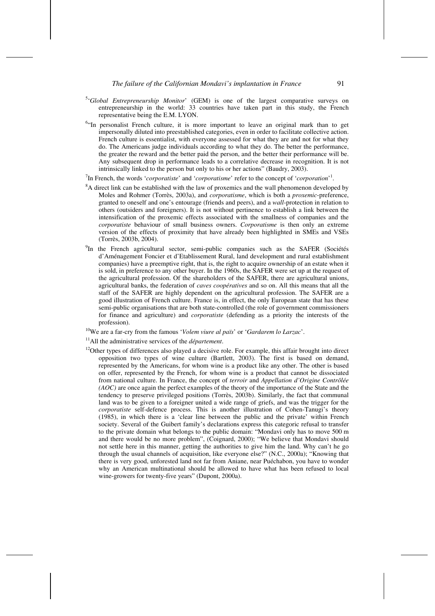- 5 '*Global Entrepreneurship Monitor*' (GEM) is one of the largest comparative surveys on entrepreneurship in the world: 33 countries have taken part in this study, the French representative being the E.M. LYON.
- $64$ In personalist French culture, it is more important to leave an original mark than to get impersonally diluted into preestablished categories, even in order to facilitate collective action. French culture is essentialist, with everyone assessed for what they are and not for what they do. The Americans judge individuals according to what they do. The better the performance, the greater the reward and the better paid the person, and the better their performance will be. Any subsequent drop in performance leads to a correlative decrease in recognition. It is not intrinsically linked to the person but only to his or her actions" (Baudry, 2003).

<sup>7</sup>In French, the words '*corporatiste*' and '*corporatisme*' refer to the concept of '*corporation*<sup>-1</sup>.

- $8A$  direct link can be established with the law of proxemics and the wall phenomenon developed by Moles and Rohmer (Torrès, 2003a), and *corporatisme*, which is both a *proxemic*-preference, granted to oneself and one's entourage (friends and peers), and a *wall*-protection in relation to others (outsiders and foreigners). It is not without pertinence to establish a link between the intensification of the proxemic effects associated with the smallness of companies and the *corporatiste* behaviour of small business owners. *Corporatisme* is then only an extreme version of the effects of proximity that have already been highlighted in SMEs and VSEs (Torrès, 2003b, 2004).
- <sup>9</sup>In the French agricultural sector, semi-public companies such as the SAFER (Sociétés d'Aménagement Foncier et d'Etablissement Rural, land development and rural establishment companies) have a preemptive right, that is, the right to acquire ownership of an estate when it is sold, in preference to any other buyer. In the 1960s, the SAFER were set up at the request of the agricultural profession. Of the shareholders of the SAFER, there are agricultural unions, agricultural banks, the federation of *caves coopératives* and so on. All this means that all the staff of the SAFER are highly dependent on the agricultural profession. The SAFER are a good illustration of French culture. France is, in effect, the only European state that has these semi-public organisations that are both state-controlled (the role of government commissioners for finance and agriculture) and *corporatiste* (defending as a priority the interests of the profession).
- 10We are a far-cry from the famous '*Volem viure al païs*' or '*Gardarem lo Larzac*'. 11All the administrative services of the *département*.
- 
- <sup>12</sup>Other types of differences also played a decisive role. For example, this affair brought into direct opposition two types of wine culture (Bartlett, 2003). The first is based on demand, represented by the Americans, for whom wine is a product like any other. The other is based on offer, represented by the French, for whom wine is a product that cannot be dissociated from national culture. In France, the concept of *terroir* and *Appellation d'Origine Contrôlée (AOC)* are once again the perfect examples of the theory of the importance of the State and the tendency to preserve privileged positions (Torrès, 2003b). Similarly, the fact that communal land was to be given to a foreigner united a wide range of griefs, and was the trigger for the *corporatiste* self-defence process. This is another illustration of Cohen-Tanugi's theory (1985), in which there is a 'clear line between the public and the private' within French society. Several of the Guibert family's declarations express this categoric refusal to transfer to the private domain what belongs to the public domain: "Mondavi only has to move 500 m and there would be no more problem", (Coignard, 2000); "We believe that Mondavi should not settle here in this manner, getting the authorities to give him the land. Why can't he go through the usual channels of acquisition, like everyone else?" (N.C., 2000a); "Knowing that there is very good, unforested land not far from Aniane, near Puéchabon, you have to wonder why an American multinational should be allowed to have what has been refused to local wine-growers for twenty-five years" (Dupont, 2000a).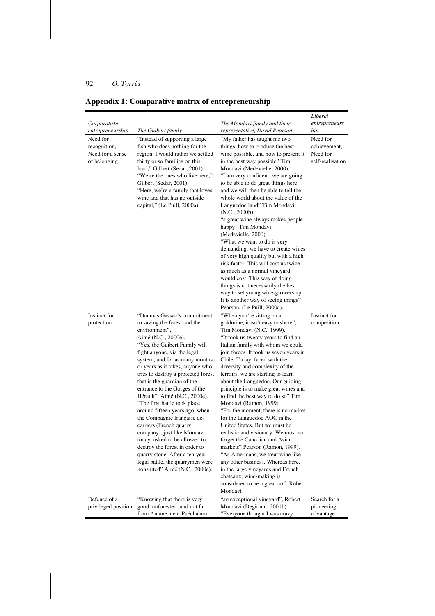|                                                              |                                                                                                                                                                                                                                                                                                                                                                                                                                                                                                                                                                                                                                                                                                                         |                                                                                                                                                                                                                                                                                                                                                                                                                                                                                                                                                                                                                                                                                                                                                                                                                                                                                              | Liberal                                                  |
|--------------------------------------------------------------|-------------------------------------------------------------------------------------------------------------------------------------------------------------------------------------------------------------------------------------------------------------------------------------------------------------------------------------------------------------------------------------------------------------------------------------------------------------------------------------------------------------------------------------------------------------------------------------------------------------------------------------------------------------------------------------------------------------------------|----------------------------------------------------------------------------------------------------------------------------------------------------------------------------------------------------------------------------------------------------------------------------------------------------------------------------------------------------------------------------------------------------------------------------------------------------------------------------------------------------------------------------------------------------------------------------------------------------------------------------------------------------------------------------------------------------------------------------------------------------------------------------------------------------------------------------------------------------------------------------------------------|----------------------------------------------------------|
| Corporatiste                                                 |                                                                                                                                                                                                                                                                                                                                                                                                                                                                                                                                                                                                                                                                                                                         | The Mondavi family and their                                                                                                                                                                                                                                                                                                                                                                                                                                                                                                                                                                                                                                                                                                                                                                                                                                                                 | entrepreneurs                                            |
| entrepreneurship                                             | The Guibert family                                                                                                                                                                                                                                                                                                                                                                                                                                                                                                                                                                                                                                                                                                      | representative, David Pearson                                                                                                                                                                                                                                                                                                                                                                                                                                                                                                                                                                                                                                                                                                                                                                                                                                                                | hip                                                      |
| Need for<br>recognition,<br>Need for a sense<br>of belonging | "Instead of supporting a large<br>fish who does nothing for the<br>region, I would rather we settled<br>thirty or so families on this<br>land," Gilbert (Sedar, 2001).<br>"We're the ones who live here,"<br>Gilbert (Sedar, 2001).<br>"Here, we're a family that loves<br>wine and that has no outside.<br>capital," (Le Puill, 2000a).                                                                                                                                                                                                                                                                                                                                                                                | "My father has taught me two<br>things: how to produce the best<br>wine possible, and how to present it<br>in the best way possible" Tim<br>Mondavi (Medevielle, 2000).<br>"I am very confident; we are going<br>to be able to do great things here<br>and we will then be able to tell the<br>whole world about the value of the<br>Languedoc land" Tim Mondavi<br>(N.C., 2000b).<br>"a great wine always makes people<br>happy" Tim Mondavi<br>(Medevielle, 2000).<br>"What we want to do is very"<br>demanding: we have to create wines<br>of very high quality but with a high<br>risk factor. This will cost us twice<br>as much as a normal vineyard<br>would cost. This way of doing                                                                                                                                                                                                  | Need for<br>achievement,<br>Need for<br>self-realisation |
|                                                              |                                                                                                                                                                                                                                                                                                                                                                                                                                                                                                                                                                                                                                                                                                                         | things is not necessarily the best<br>way to set young wine-growers up.<br>It is another way of seeing things"<br>Pearson, (Le Puill, 2000a).                                                                                                                                                                                                                                                                                                                                                                                                                                                                                                                                                                                                                                                                                                                                                |                                                          |
| Instinct for<br>protection                                   | "Daumas Gassac's commitment<br>to saving the forest and the<br>environment",<br>Aimé (N.C., 2000e).<br>"Yes, the Guibert Family will<br>fight anyone, via the legal<br>system, and for as many months<br>or years as it takes, anyone who<br>tries to destroy a protected forest<br>that is the guardian of the<br>entrance to the Gorges of the<br>Hérault", Aimé (N.C., 2000e).<br>"The first battle took place<br>around fifteen years ago, when<br>the Compagnie française des<br>carriers (French quarry<br>company), just like Mondavi<br>today, asked to be allowed to<br>destroy the forest in order to<br>quarry stone. After a ten-year<br>legal battle, the quarrymen were<br>nonsuited" Aimé (N.C., 2000e). | "When you're sitting on a<br>goldmine, it isn't easy to share",<br>Tim Mondavi (N.C., 1999).<br>"It took us twenty years to find an<br>Italian family with whom we could<br>join forces. It took us seven years in<br>Chile. Today, faced with the<br>diversity and complexity of the<br>terroirs, we are starting to learn<br>about the Languedoc. Our guiding<br>principle is to make great wines and<br>to find the best way to do so" Tim<br>Mondavi (Ramon, 1999).<br>"For the moment, there is no market"<br>for the Languedoc AOC in the<br>United States. But we must be.<br>realistic and visionary. We must not<br>forget the Canadian and Asian<br>markets" Pearson (Ramon, 1999).<br>"As Americans, we treat wine like<br>any other business. Whereas here,<br>in the large vineyards and French<br>chateaux, wine-making is<br>considered to be a great art", Robert<br>Mondavi | Instinct for<br>competition                              |
| Defence of a<br>privileged position                          | "Knowing that there is very<br>good, unforested land not far<br>from Aniane, near Puéchabon,                                                                                                                                                                                                                                                                                                                                                                                                                                                                                                                                                                                                                            | "an exceptional vineyard", Robert<br>Mondavi (Degionni, 2001b).<br>"Everyone thought I was crazy                                                                                                                                                                                                                                                                                                                                                                                                                                                                                                                                                                                                                                                                                                                                                                                             | Search for a<br>pioneering<br>advantage                  |

# **Appendix 1: Comparative matrix of entrepreneurship**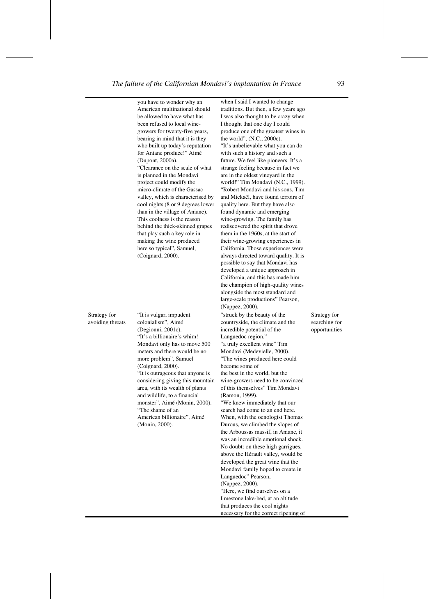you have to wonder why an American multinational should be allowed to have what has been refused to local winegrowers for twenty-five years, bearing in mind that it is they who built up today's reputation for Aniane produce!" Aimé (Dupont, 2000a). "Clearance on the scale of what is planned in the Mondavi project could modify the micro-climate of the Gassac valley, which is characterised by cool nights (8 or 9 degrees lower than in the village of Aniane). This coolness is the reason behind the thick-skinned grapes that play such a key role in making the wine produced here so typical", Samuel, (Coignard, 2000).

Strategy for avoiding threats

"It is vulgar, impudent colonialism", Aimé (Degionni, 2001c). "It's a billionaire's whim! Mondavi only has to move 500 meters and there would be no more problem", Samuel (Coignard, 2000). "It is outrageous that anyone is considering giving this mountain area, with its wealth of plants and wildlife, to a financial monster", Aimé (Monin, 2000). "The shame of an American billionaire", Aimé (Monin, 2000).

when I said I wanted to change traditions. But then, a few years ago I was also thought to be crazy when I thought that one day I could produce one of the greatest wines in the world", (N.C., 2000c). "It's unbelievable what you can do with such a history and such a future. We feel like pioneers. It's a strange feeling because in fact we are in the oldest vineyard in the world!" Tim Mondavi (N.C., 1999). "Robert Mondavi and his sons, Tim and Mickaël, have found terroirs of quality here. But they have also found dynamic and emerging wine-growing. The family has rediscovered the spirit that drove them in the 1960s, at the start of their wine-growing experiences in California. Those experiences were always directed toward quality. It is possible to say that Mondavi has developed a unique approach in California, and this has made him the champion of high-quality wines alongside the most standard and large-scale productions" Pearson, (Nappez, 2000). "struck by the beauty of the countryside, the climate and the incredible potential of the Languedoc region." "a truly excellent wine" Tim Mondavi (Medevielle, 2000). "The wines produced here could become some of the best in the world, but the wine-growers need to be convinced of this themselves" Tim Mondavi (Ramon, 1999). "We knew immediately that our search had come to an end here. When, with the oenologist Thomas Durous, we climbed the slopes of the Arboussas massif, in Aniane, it was an incredible emotional shock. No doubt: on these high garrigues, above the Hérault valley, would be

developed the great wine that the Mondavi family hoped to create in

"Here, we find ourselves on a limestone lake-bed, at an altitude that produces the cool nights necessary for the correct ripening of

Languedoc" Pearson, (Nappez, 2000).

Strategy for searching for opportunities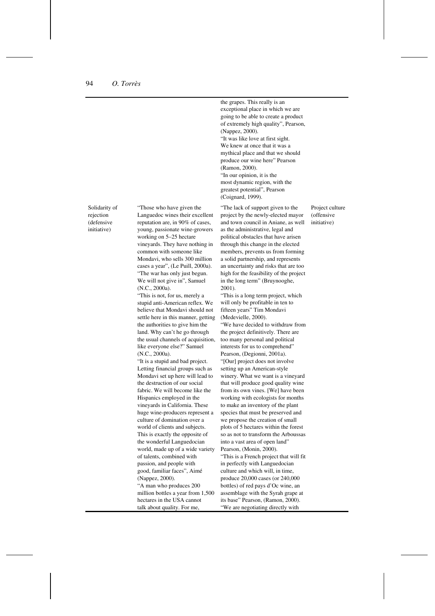Solidarity of rejection (defensive initiative)

"Those who have given the Languedoc wines their excellent reputation are, in 90% of cases young, passionate wine-growers working on 5–25 hectare vineyards. They have nothing in common with someone like Mondavi, who sells 300 million cases a year", (Le Puill, 2000a). "The war has only just begun. We will not give in", Samuel (N.C., 2000a).

"This is not, for us, merely a stupid anti-American reflex. We believe that Mondavi should not settle here in this manner, getting the authorities to give him the land. Why can't he go through the usual channels of acquisition, like everyone else?" Samuel (N.C., 2000a).

"It is a stupid and bad project. Letting financial groups such as Mondavi set up here will lead to the destruction of our social fabric. We will become like the Hispanics employed in the vineyards in California. These huge wine-producers represent a culture of domination over a world of clients and subjects. This is exactly the opposite of the wonderful Languedocian world, made up of a wide variety of talents, combined with passion, and people with good, familiar faces", Aimé (Nappez, 2000). "A man who produces 200 million bottles a year from 1,500 hectares in the USA cannot talk about quality. For me,

the grapes. This really is an exceptional place in which we are going to be able to create a product of extremely high quality", Pearson, (Nappez, 2000). "It was like love at first sight. We knew at once that it was a mythical place and that we should produce our wine here" Pearson (Ramon, 2000). "In our opinion, it is the most dynamic region, with the greatest potential", Pearson (Coignard, 1999).

"The lack of support given to the project by the newly-elected mayor and town council in Aniane, as well as the administrative, legal and political obstacles that have arisen through this change in the elected members, prevents us from forming a solid partnership, and represents an uncertainty and risks that are too high for the feasibility of the project in the long term" (Bruynooghe, 2001).

"This is a long term project, which will only be profitable in ten to fifteen years" Tim Mondavi (Medevielle, 2000).

"We have decided to withdraw from the project definitively. There are too many personal and political interests for us to comprehend" Pearson, (Degionni, 2001a). "[Our] project does not involve setting up an American-style winery. What we want is a vineyard that will produce good quality wine from its own vines. [We] have been working with ecologists for months to make an inventory of the plant species that must be preserved and we propose the creation of small plots of 5 hectares within the forest so as not to transform the Arboussas into a vast area of open land" Pearson, (Monin, 2000). "This is a French project that will fit in perfectly with Languedocian culture and which will, in time, produce 20,000 cases (or 240,000 bottles) of red pays d'Oc wine, an assemblage with the Syrah grape at its base" Pearson, (Ramon, 2000). "We are negotiating directly with

Project culture (offensive initiative)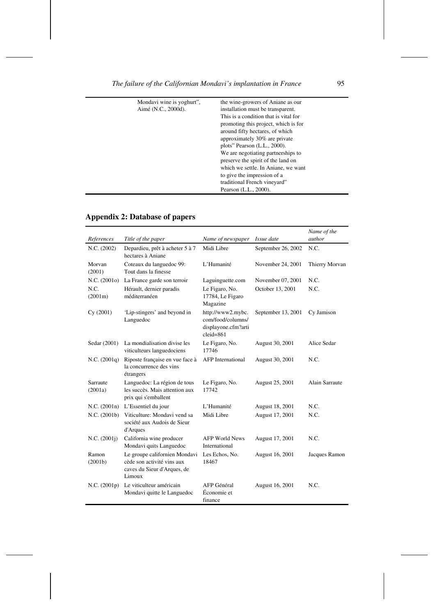| Mondavi wine is yoghurt", | the wine-growers of Aniane as our     |
|---------------------------|---------------------------------------|
| Aimé (N.C., 2000d).       | installation must be transparent.     |
|                           | This is a condition that is vital for |
|                           | promoting this project, which is for  |
|                           | around fifty hectares, of which       |
|                           | approximately 30% are private         |
|                           | plots" Pearson (L.L., 2000).          |
|                           | We are negotiating partnerships to    |
|                           | preserve the spirit of the land on    |
|                           | which we settle. In Aniane, we want   |
|                           | to give the impression of a           |
|                           | traditional French vineyard"          |
|                           | Pearson (L.L., 2000).                 |

# **Appendix 2: Database of papers**

|                     |                                                                                                      |                                                                                |                    | Name of the    |
|---------------------|------------------------------------------------------------------------------------------------------|--------------------------------------------------------------------------------|--------------------|----------------|
| References          | Title of the paper                                                                                   | Name of newspaper                                                              | Issue date         | author         |
| N.C. (2002)         | Depardieu, prêt à acheter 5 à 7<br>hectares à Aniane                                                 | Midi Libre                                                                     | September 26, 2002 | N.C.           |
| Morvan<br>(2001)    | Coteaux du languedoc 99:<br>Tout dans la finesse                                                     | L'Humanité                                                                     | November 24, 2001  | Thierry Morvan |
| N.C. (2001o)        | La France garde son terroir                                                                          | Laguinguette.com                                                               | November 07, 2001  | N.C.           |
| N.C.<br>(2001m)     | Hérault, dernier paradis<br>méditerranéen                                                            | Le Figaro, No.<br>17784, Le Figaro<br>Magazine                                 | October 13, 2001   | N.C.           |
| Cy(2001)            | 'Lip-stingers' and beyond in<br>Languedoc                                                            | http://www2.mybc.<br>com/food/columns/<br>displayone.cfm?arti<br>$cleid = 861$ | September 13, 2001 | Cy Jamison     |
| Sedar (2001)        | La mondialisation divise les<br>viticulteurs languedociens                                           | Le Figaro, No.<br>17746                                                        | August 30, 2001    | Alice Sedar    |
| N.C. (2001q)        | Riposte française en vue face à<br>la concurrence des vins<br>étrangers                              | <b>AFP</b> International                                                       | August 30, 2001    | N.C.           |
| Sarraute<br>(2001a) | Languedoc: La région de tous<br>les succès. Mais attention aux<br>prix qui s'emballent               | Le Figaro, No.<br>17742                                                        | August 25, 2001    | Alain Sarraute |
| N.C. (2001n)        | L'Essentiel du jour                                                                                  | L'Humanité                                                                     | August 18, 2001    | N.C.           |
| N.C. (2001b)        | Viticulture: Mondavi vend sa<br>société aux Audois de Sieur<br>d'Arques                              | Midi Libre                                                                     | August 17, 2001    | N.C.           |
| N.C. (2001j)        | California wine producer<br>Mondavi quits Languedoc                                                  | <b>AFP World News</b><br>International                                         | August 17, 2001    | N.C.           |
| Ramon<br>(2001b)    | Le groupe californien Mondavi<br>cède son activité vins aux<br>caves du Sieur d'Arques, de<br>Limoux | Les Echos, No.<br>18467                                                        | August 16, 2001    | Jacques Ramon  |
| N.C. (2001p)        | Le viticulteur américain<br>Mondavi quitte le Languedoc                                              | AFP Général<br>Économie et<br>finance                                          | August 16, 2001    | N.C.           |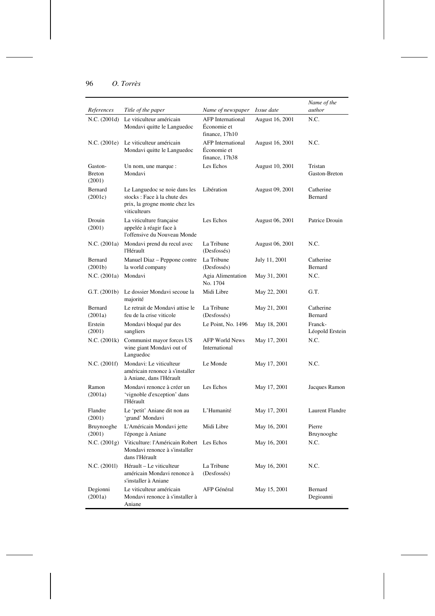| References                         | Title of the paper                                                                                             | Name of newspaper                                         | <i>Issue date</i> | Name of the<br>author      |
|------------------------------------|----------------------------------------------------------------------------------------------------------------|-----------------------------------------------------------|-------------------|----------------------------|
| N.C. (2001d)                       | Le viticulteur américain<br>Mondavi quitte le Languedoc                                                        | <b>AFP</b> International<br>Économie et<br>finance, 17h10 | August 16, 2001   | N.C.                       |
| N.C. (2001e)                       | Le viticulteur américain<br>Mondavi quitte le Languedoc                                                        | <b>AFP</b> International<br>Économie et<br>finance, 17h38 | August 16, 2001   | N.C.                       |
| Gaston-<br><b>Breton</b><br>(2001) | Un nom, une marque :<br>Mondavi                                                                                | Les Echos                                                 | August 10, 2001   | Tristan<br>Gaston-Breton   |
| Bernard<br>(2001c)                 | Le Languedoc se noie dans les<br>stocks: Face à la chute des<br>prix, la grogne monte chez les<br>viticulteurs | Libération                                                | August 09, 2001   | Catherine<br>Bernard       |
| Drouin<br>(2001)                   | La viticulture française<br>appelée à réagir face à<br>l'offensive du Nouveau Monde                            | Les Echos                                                 | August 06, 2001   | Patrice Drouin             |
| N.C. (2001a)                       | Mondavi prend du recul avec<br>l'Hérault                                                                       | La Tribune<br>(Desfossés)                                 | August 06, 2001   | N.C.                       |
| Bernard<br>(2001b)                 | Manuel Diaz - Peppone contre<br>la world company                                                               | La Tribune<br>(Desfossés)                                 | July 11, 2001     | Catherine<br>Bernard       |
| N.C. (2001a)                       | Mondavi                                                                                                        | Agia Alimentation<br>No. 1704                             | May 31, 2001      | N.C.                       |
| G.T. (2001b)                       | Le dossier Mondavi secoue la<br>majorité                                                                       | Midi Libre                                                | May 22, 2001      | G.T.                       |
| Bernard<br>(2001a)                 | Le retrait de Mondavi attise le<br>feu de la crise viticole                                                    | La Tribune<br>(Desfossés)                                 | May 21, 2001      | Catherine<br>Bernard       |
| Erstein<br>(2001)                  | Mondavi bloqué par des<br>sangliers                                                                            | Le Point, No. 1496                                        | May 18, 2001      | Franck-<br>Léopold Erstein |
| N.C. (2001k)                       | Communist mayor forces US<br>wine giant Mondavi out of<br>Languedoc                                            | <b>AFP World News</b><br>International                    | May 17, 2001      | N.C.                       |
| N.C. (2001f)                       | Mondavi: Le viticulteur<br>américain renonce à s'installer<br>à Aniane, dans l'Hérault                         | Le Monde                                                  | May 17, 2001      | N.C.                       |
| Ramon<br>(2001a)                   | Mondavi renonce à créer un<br>'vignoble d'exception' dans<br>l'Hérault                                         | Les Echos                                                 | May 17, 2001      | Jacques Ramon              |
| Flandre<br>(2001)                  | Le 'petit' Aniane dit non au<br>'grand' Mondavi                                                                | L'Humanité                                                | May 17, 2001      | Laurent Flandre            |
| Bruynooghe<br>(2001)               | L'Américain Mondavi jette<br>l'éponge à Aniane                                                                 | Midi Libre                                                | May 16, 2001      | Pierre<br>Bruynooghe       |
| N.C. (2001g)                       | Viticulture: l'Américain Robert Les Echos<br>Mondavi renonce à s'installer<br>dans l'Hérault                   |                                                           | May 16, 2001      | N.C.                       |
| N.C. (20011)                       | Hérault – Le viticulteur<br>américain Mondavi renonce à<br>s'installer à Aniane                                | La Tribune<br>(Desfossés)                                 | May 16, 2001      | N.C.                       |
| Degionni<br>(2001a)                | Le viticulteur américain<br>Mondavi renonce à s'installer à<br>Aniane                                          | AFP Général                                               | May 15, 2001      | Bernard<br>Degioanni       |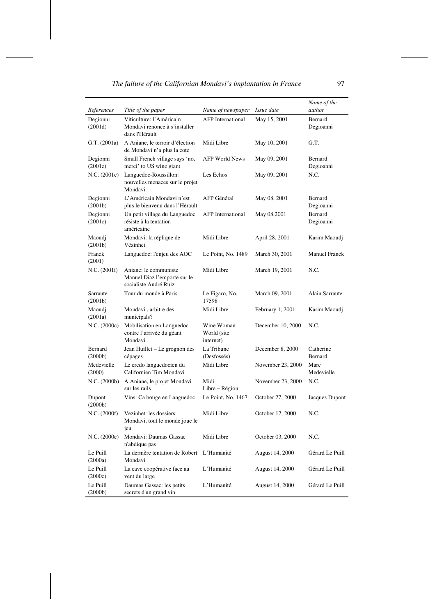|  |  |  | The failure of the Californian Mondavi's implantation in France |  |
|--|--|--|-----------------------------------------------------------------|--|
|--|--|--|-----------------------------------------------------------------|--|

|                      |                                                                                |                                        |                   | Name of the<br>author |
|----------------------|--------------------------------------------------------------------------------|----------------------------------------|-------------------|-----------------------|
| References           | Title of the paper<br>Viticulture: l'Américain                                 | Name of newspaper                      | <i>Issue date</i> | Bernard               |
| Degionni<br>(2001d)  | Mondavi renonce à s'installer<br>dans l'Hérault                                | <b>AFP</b> International               | May 15, 2001      | Degioanni             |
| G.T. (2001a)         | A Aniane, le terroir d'élection<br>de Mondavi n'a plus la cote                 | Midi Libre                             | May 10, 2001      | G.T.                  |
| Degionni<br>(2001e)  | Small French village says 'no,<br>merci' to US wine giant                      | AFP World News                         | May 09, 2001      | Bernard<br>Degioanni  |
| N.C. (2001c)         | Languedoc-Roussillon:<br>nouvelles menaces sur le projet<br>Mondavi            | Les Echos                              | May 09, 2001      | N.C.                  |
| Degionni<br>(2001b)  | L'Américain Mondavi n'est<br>plus le bienvenu dans l'Hérault                   | AFP Général                            | May 08, 2001      | Bernard<br>Degioanni  |
| Degionni<br>(2001c)  | Un petit village du Languedoc<br>résiste à la tentation<br>américaine          | <b>AFP</b> International               | May 08,2001       | Bernard<br>Degioanni  |
| Maoudj<br>(2001b)    | Mondavi: la réplique de<br>Vézinhet                                            | Midi Libre                             | April 28, 2001    | Karim Maoudj          |
| Franck<br>(2001)     | Languedoc: l'enjeu des AOC                                                     | Le Point, No. 1489                     | March 30, 2001    | <b>Manuel Franck</b>  |
| N.C. (2001i)         | Aniane: le communiste<br>Manuel Diaz l'emporte sur le<br>socialiste André Ruiz | Midi Libre                             | March 19, 2001    | N.C.                  |
| Sarraute<br>(2001b)  | Tour du monde à Paris                                                          | Le Figaro, No.<br>17598                | March 09, 2001    | Alain Sarraute        |
| Maoudj<br>(2001a)    | Mondavi, arbitre des<br>municipals?                                            | Midi Libre                             | February 1, 2001  | Karim Maoudj          |
| N.C. (2000c)         | Mobilisation en Languedoc<br>contre l'arrivée du géant<br>Mondavi              | Wine Woman<br>World (site<br>internet) | December 10, 2000 | N.C.                  |
| Bernard<br>(2000b)   | Jean Huillet - Le grognon des<br>cépages                                       | La Tribune<br>(Desfossés)              | December 8, 2000  | Catherine<br>Bernard  |
| Medevielle<br>(2000) | Le credo languedocien du<br>Californien Tim Mondavi                            | Midi Libre                             | November 23, 2000 | Marc<br>Medevielle    |
| N.C. (2000b)         | A Aniane, le projet Mondavi<br>sur les rails                                   | Midi<br>Libre - Région                 | November 23, 2000 | N.C.                  |
| Dupont<br>(2000b)    | Vins: Ca bouge en Languedoc                                                    | Le Point, No. 1467                     | October 27, 2000  | Jacques Dupont        |
| N.C. (2000f)         | Vezinhet: les dossiers:<br>Mondavi, tout le monde joue le<br>jeu               | Midi Libre                             | October 17, 2000  | N.C.                  |
| N.C. (2000e)         | Mondavi: Daumas Gassac<br>n'abdique pas                                        | Midi Libre                             | October 03, 2000  | N.C.                  |
| Le Puill<br>(2000a)  | La dernière tentation de Robert<br>Mondavi                                     | L'Humanité                             | August 14, 2000   | Gérard Le Puill       |
| Le Puill<br>(2000c)  | La cave coopérative face au<br>vent du large                                   | L'Humanité                             | August 14, 2000   | Gérard Le Puill       |
| Le Puill<br>(2000b)  | Daumas Gassac: les petits<br>secrets d'un grand vin                            | L'Humanité                             | August 14, 2000   | Gérard Le Puill       |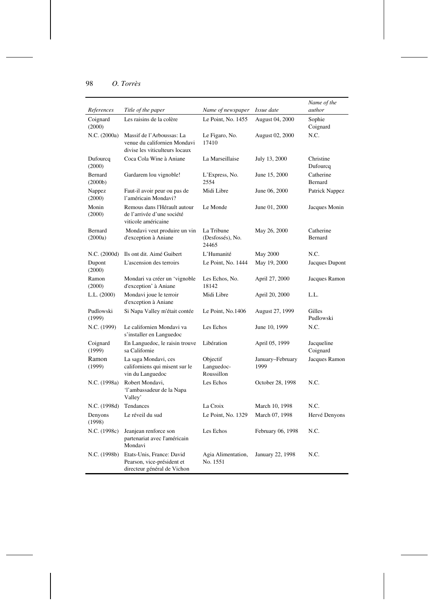| References          | Title of the paper                                                                          | Name of newspaper                       | Issue date               | Name of the<br>author  |
|---------------------|---------------------------------------------------------------------------------------------|-----------------------------------------|--------------------------|------------------------|
| Coignard<br>(2000)  | Les raisins de la colère                                                                    | Le Point, No. 1455                      | August 04, 2000          | Sophie<br>Coignard     |
| N.C. (2000a)        | Massif de l'Arboussas: La<br>venue du californien Mondavi<br>divise les viticulteurs locaux | Le Figaro, No.<br>17410                 | August 02, 2000          | N.C.                   |
| Dufourcq<br>(2000)  | Coca Cola Wine à Aniane                                                                     | La Marseillaise                         | July 13, 2000            | Christine<br>Dufourcq  |
| Bernard<br>(2000b)  | Gardarem lou vignoble!                                                                      | L'Express, No.<br>2554                  | June 15, 2000            | Catherine<br>Bernard   |
| Nappez<br>(2000)    | Faut-il avoir peur ou pas de<br>l'américain Mondavi?                                        | Midi Libre                              | June 06, 2000            | Patrick Nappez         |
| Monin<br>(2000)     | Remous dans l'Hérault autour<br>de l'arrivée d'une société<br>viticole américaine           | Le Monde                                | June 01, 2000            | Jacques Monin          |
| Bernard<br>(2000a)  | Mondavi veut produire un vin<br>d'exception à Aniane                                        | La Tribune<br>(Desfossés), No.<br>24465 | May 26, 2000             | Catherine<br>Bernard   |
| N.C. (2000d)        | Ils ont dit. Aimé Guibert                                                                   | L'Humanité                              | May 2000                 | N.C.                   |
| Dupont<br>(2000)    | L'ascension des terroirs                                                                    | Le Point, No. 1444                      | May 19, 2000             | Jacques Dupont         |
| Ramon<br>(2000)     | Mondari va créer un 'vignoble<br>d'exception' à Aniane                                      | Les Echos, No.<br>18142                 | April 27, 2000           | Jacques Ramon          |
| L.L. (2000)         | Mondavi joue le terroir<br>d'exception à Aniane                                             | Midi Libre                              | April 20, 2000           | LL.                    |
| Pudlowski<br>(1999) | Si Napa Valley m'était contée                                                               | Le Point, No.1406                       | August 27, 1999          | Gilles<br>Pudlowski    |
| N.C. (1999)         | Le californien Mondavi va<br>s'installer en Languedoc                                       | Les Echos                               | June 10, 1999            | N.C.                   |
| Coignard<br>(1999)  | En Languedoc, le raisin trouve<br>sa Californie                                             | Libération                              | April 05, 1999           | Jacqueline<br>Coignard |
| Ramon<br>(1999)     | La saga Mondavi, ces<br>californiens qui misent sur le<br>vin du Languedoc                  | Objectif<br>Languedoc-<br>Roussillon    | January-February<br>1999 | Jacques Ramon          |
| N.C. (1998a)        | Robert Mondavi,<br>'l'ambassadeur de la Napa<br>Valley'                                     | Les Echos                               | October 28, 1998         | N.C.                   |
| N.C. (1998d)        | Tendances                                                                                   | La Croix                                | March 10, 1998           | N.C.                   |
| Denyons<br>(1998)   | Le réveil du sud                                                                            | Le Point, No. 1329                      | March 07, 1998           | Hervé Denyons          |
| N.C. (1998c)        | Jeanjean renforce son<br>partenariat avec l'américain<br>Mondavi                            | Les Echos                               | February 06, 1998        | N.C.                   |
| N.C. (1998b)        | Etats-Unis, France: David<br>Pearson, vice-président et<br>directeur général de Vichon      | Agia Alimentation,<br>No. 1551          | January 22, 1998         | N.C.                   |